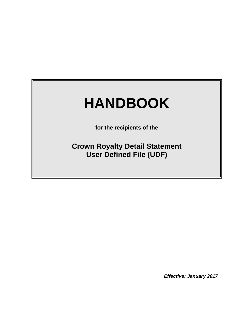# **HANDBOOK**

**for the recipients of the**

**Crown Royalty Detail Statement User Defined File (UDF)**

*Effective: January 2017*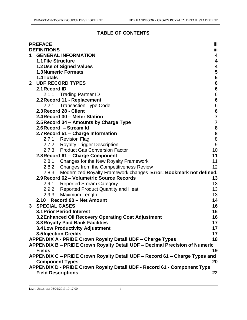## **TABLE OF CONTENTS**

|                | <b>PREFACE</b>                                                             | iii                                   |  |  |  |
|----------------|----------------------------------------------------------------------------|---------------------------------------|--|--|--|
|                | <b>DEFINITIONS</b>                                                         | iii                                   |  |  |  |
| $\mathbf 1$    | <b>GENERAL INFORMATION</b>                                                 | 4                                     |  |  |  |
|                | <b>1.1 File Structure</b>                                                  | 4                                     |  |  |  |
|                | <b>1.2 Use of Signed Values</b>                                            | 4                                     |  |  |  |
|                | <b>1.3 Numeric Formats</b>                                                 | $\overline{\mathbf{5}}$               |  |  |  |
|                | 1.4 Totals                                                                 |                                       |  |  |  |
|                | 2 UDF RECORD TYPES                                                         | 5<br>6<br>6                           |  |  |  |
|                | 2.1 Record ID                                                              |                                       |  |  |  |
|                | 2.1.1 Trading Partner ID                                                   | $\,6$                                 |  |  |  |
|                | 2.2 Record 11 - Replacement                                                | $\boldsymbol{6}$                      |  |  |  |
|                | 2.2.1 Transaction Type Code                                                | $\boldsymbol{6}$                      |  |  |  |
|                | 2.3 Record 28 - Client                                                     | $\frac{6}{7}$                         |  |  |  |
|                | 2.4 Record 30 - Meter Station                                              |                                       |  |  |  |
|                | 2.5 Record 34 – Amounts by Charge Type                                     | $\overline{\mathbf{7}}$               |  |  |  |
|                | 2.6 Record - Stream Id                                                     | ${\bf 8}$                             |  |  |  |
|                | 2.7 Record 51 - Charge Information                                         | $\begin{array}{c} 8 \\ 8 \end{array}$ |  |  |  |
|                | 2.7.1 Revision Flag                                                        |                                       |  |  |  |
|                | 2.7.2 Royalty Trigger Description                                          | $\overline{9}$                        |  |  |  |
|                | 2.7.3 Product Gas Conversion Factor                                        | 10                                    |  |  |  |
|                | 2.8 Record 61 - Charge Component                                           | 11                                    |  |  |  |
|                | 2.8.1 Changes for the New Royalty Framework                                | 11                                    |  |  |  |
|                | 2.8.2 Changes from the Competitiveness Review                              | 12                                    |  |  |  |
|                | 2.8.3 Modernized Royalty Framework changes Error! Bookmark not defined.    |                                       |  |  |  |
|                | 2.9 Record 62 - Volumetric Source Records                                  | 13                                    |  |  |  |
|                | 2.9.1 Reported Stream Category                                             | 13                                    |  |  |  |
|                | 2.9.2 Reported Product Quantity and Heat                                   | 13                                    |  |  |  |
|                | 2.9.3<br><b>Maximum Length</b>                                             | 13                                    |  |  |  |
|                | 2.10 Record 90 - Net Amount                                                | 14                                    |  |  |  |
| 3 <sup>1</sup> | <b>SPECIAL CASES</b>                                                       | 16                                    |  |  |  |
|                | <b>3.1 Prior Period Interest</b>                                           | 16                                    |  |  |  |
|                | 3.2 Enhanced Oil Recovery Operating Cost Adjustment                        | 16                                    |  |  |  |
|                | <b>3.3 Royalty Paid Bank Facilities</b>                                    | 17                                    |  |  |  |
|                | <b>3.4 Low Productivity Adjustment</b>                                     | 17                                    |  |  |  |
|                | 3.5 Injection Credits                                                      | 17                                    |  |  |  |
|                | <b>APPENDIX A - PRIDE Crown Royalty Detail UDF - Charge Types</b>          | 18                                    |  |  |  |
|                | APPENDIX B - PRIDE Crown Royalty Detail UDF - Decimal Precision of Numeric |                                       |  |  |  |
|                | <b>Fields</b><br>19                                                        |                                       |  |  |  |
|                | APPENDIX C - PRIDE Crown Royalty Detail UDF - Record 61 - Charge Types and |                                       |  |  |  |
|                | <b>Component Types</b><br>20                                               |                                       |  |  |  |
|                | APPENDIX D - PRIDE Crown Royalty Detail UDF - Record 61 - Component Type   |                                       |  |  |  |
|                | <b>Field Descriptions</b><br>22                                            |                                       |  |  |  |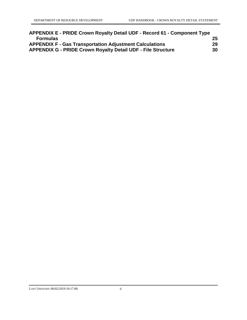| APPENDIX E - PRIDE Crown Royalty Detail UDF - Record 61 - Component Type |    |
|--------------------------------------------------------------------------|----|
| <b>Formulas</b>                                                          | 25 |
| <b>APPENDIX F - Gas Transportation Adjustment Calculations</b>           | 29 |
| <b>APPENDIX G - PRIDE Crown Royalty Detail UDF - File Structure</b>      | 30 |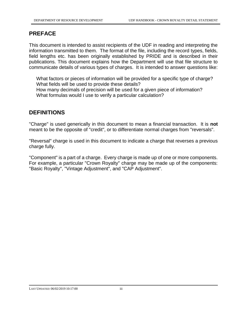## **PREFACE**

This document is intended to assist recipients of the UDF in reading and interpreting the information transmitted to them. The format of the file, including the record types, fields, field lengths etc. has been originally established by PRIDE and is described in their publications. This document explains how the Department will use that file structure to communicate details of various types of charges. It is intended to answer questions like:

What factors or pieces of information will be provided for a specific type of charge? What fields will be used to provide these details? How many decimals of precision will be used for a given piece of information? What formulas would I use to verify a particular calculation?

# **DEFINITIONS**

"Charge" is used generically in this document to mean a financial transaction. It is **not** meant to be the opposite of "credit", or to differentiate normal charges from "reversals".

"Reversal" charge is used in this document to indicate a charge that reverses a previous charge fully.

"Component" is a part of a charge. Every charge is made up of one or more components. For example, a particular "Crown Royalty" charge may be made up of the components: "Basic Royalty", "Vintage Adjustment", and "CAP Adjustment".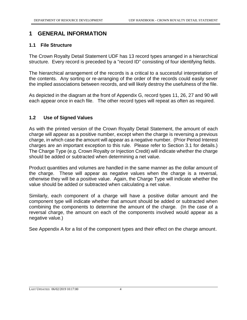# **1 GENERAL INFORMATION**

#### **1.1 File Structure**

The Crown Royalty Detail Statement UDF has 13 record types arranged in a hierarchical structure. Every record is preceded by a "record ID" consisting of four identifying fields.

The hierarchical arrangement of the records is a critical to a successful interpretation of the contents. Any sorting or re-arranging of the order of the records could easily sever the implied associations between records, and will likely destroy the usefulness of the file.

As depicted in the diagram at the front of Appendix G, record types 11, 26, 27 and 90 will each appear once in each file. The other record types will repeat as often as required.

#### **1.2 Use of Signed Values**

As with the printed version of the Crown Royalty Detail Statement, the amount of each charge will appear as a positive number, except when the charge is reversing a previous charge, in which case the amount will appear as a negative number. (Prior Period Interest charges are an important exception to this rule. Please refer to Section 3.1 for details.) The Charge Type (e.g. Crown Royalty or Injection Credit) will indicate whether the charge should be added or subtracted when determining a net value.

Product quantities and volumes are handled in the same manner as the dollar amount of the charge. These will appear as negative values when the charge is a reversal, otherwise they will be a positive value. Again, the Charge Type will indicate whether the value should be added or subtracted when calculating a net value.

Similarly, each component of a charge will have a positive dollar amount and the component type will indicate whether that amount should be added or subtracted when combining the components to determine the amount of the charge. (In the case of a reversal charge, the amount on each of the components involved would appear as a negative value.)

See Appendix A for a list of the component types and their effect on the charge amount.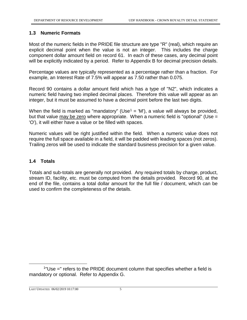#### **1.3 Numeric Formats**

Most of the numeric fields in the PRIDE file structure are type "R" (real), which require an explicit decimal point when the value is not an integer. This includes the charge component dollar amount field on record 61. In each of these cases, any decimal point will be explicitly indicated by a period. Refer to Appendix B for decimal precision details.

Percentage values are typically represented as a percentage rather than a fraction. For example, an Interest Rate of 7.5% will appear as 7.50 rather than 0.075.

Record 90 contains a dollar amount field which has a type of "N2", which indicates a numeric field having two implied decimal places. Therefore this value will appear as an integer, but it must be assumed to have a decimal point before the last two digits.

When the field is marked as "mandatory" (Use<sup>1</sup> = 'M'), a value will always be provided, but that value may be zero where appropriate. When a numeric field is "optional" (Use = 'O'), it will either have a value or be filled with spaces.

Numeric values will be right justified within the field. When a numeric value does not require the full space available in a field, it will be padded with leading spaces (not zeros). Trailing zeros will be used to indicate the standard business precision for a given value.

#### **1.4 Totals**

Totals and sub-totals are generally not provided. Any required totals by charge, product, stream ID, facility, etc. must be computed from the details provided. Record 90, at the end of the file, contains a total dollar amount for the full file / document, which can be used to confirm the completeness of the details.

 $\overline{a}$ 

<sup>&</sup>lt;sup>1</sup>"Use =" refers to the PRIDE document column that specifies whether a field is mandatory or optional. Refer to Appendix G.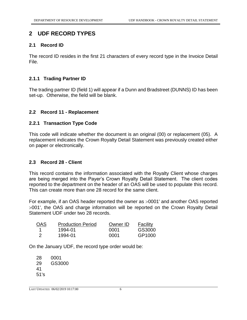## **2 UDF RECORD TYPES**

#### **2.1 Record ID**

The record ID resides in the first 21 characters of every record type in the Invoice Detail File.

#### **2.1.1 Trading Partner ID**

The trading partner ID (field 1) will appear if a Dunn and Bradstreet (DUNNS) ID has been set-up. Otherwise, the field will be blank.

#### **2.2 Record 11 - Replacement**

#### **2.2.1 Transaction Type Code**

This code will indicate whether the document is an original (00) or replacement (05). A replacement indicates the Crown Royalty Detail Statement was previously created either on paper or electronically.

#### **2.3 Record 28 - Client**

This record contains the information associated with the Royalty Client whose charges are being merged into the Payer's Crown Royalty Detail Statement. The client codes reported to the department on the header of an OAS will be used to populate this record. This can create more than one 28 record for the same client.

For example, if an OAS header reported the owner as  $>0001'$  and another OAS reported 001', the OAS and charge information will be reported on the Crown Royalty Detail Statement UDF under two 28 records.

| <b>OAS</b> | <b>Production Period</b> | Owner ID | Facility |
|------------|--------------------------|----------|----------|
|            | 1994-01                  | 0001     | GS3000   |
| - 2        | 1994-01                  | 0001     | GP1000   |

On the January UDF, the record type order would be:

28 0001 29 GS3000 41 51's

LAST UPDATED: 06/02/2019 10:17:00 6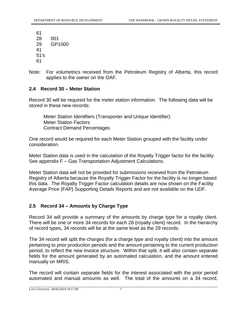Note: For volumetrics received from the Petroleum Registry of Alberta, this record applies to the owner on the OAF.

#### **2.4 Record 30 – Meter Station**

Record 30 will be required for the meter station information. The following data will be stored in these new records:

Meter Station Identifiers (Transporter and Unique Identifier) Meter Station Factors Contract Demand Percentages

One record would be required for each Meter Station grouped with the facility under consideration.

Meter Station data is used in the calculation of the Royalty Trigger factor for the facility. See appendix F – Gas Transportation Adjustment Calculations.

Meter Station data will not be provided for submissions received from the Petroleum Registry of Alberta because the Royalty Trigger Factor for the facility is no longer based this data. The Royalty Trigger Factor calculation details are now shown on the Facility Average Price (FAP) Supporting Details Reports and are not available on the UDF.

#### **2.5 Record 34 – Amounts by Charge Type**

Record 34 will provide a summary of the amounts by charge type for a royalty client. There will be one or more 34 records for each 28 (royalty client) record. In the hierarchy of record types, 34 records will be at the same level as the 29 records.

The 34 record will split the charges (for a charge type and royalty client) into the amount pertaining to prior production periods and the amount pertaining to the current production period, to reflect the new invoice structure. Within that split, it will also contain separate fields for the amount generated by an automated calculation, and the amount entered manually on MRIS.

The record will contain separate fields for the interest associated with the prior period automated and manual amounts as well. The total of the amounts on a 34 record,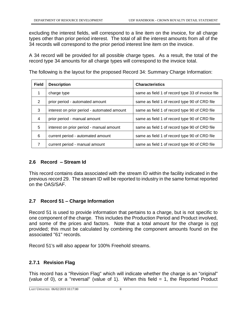excluding the interest fields, will correspond to a line item on the invoice, for all charge types other than prior period interest. The total of all the interest amounts from all of the 34 records will correspond to the prior period interest line item on the invoice.

A 34 record will be provided for all possible charge types. As a result, the total of the record type 34 amounts for all charge types will correspond to the invoice total.

The following is the layout for the proposed Record 34: Summary Charge Information:

| <b>Field</b> | <b>Description</b>                          | <b>Characteristics</b>                            |
|--------------|---------------------------------------------|---------------------------------------------------|
|              | charge type                                 | same as field 1 of record type 33 of invoice file |
| 2            | prior period - automated amount             | same as field 1 of record type 90 of CRD file     |
| 3            | interest on prior period - automated amount | same as field 1 of record type 90 of CRD file     |
| 4            | prior period - manual amount                | same as field 1 of record type 90 of CRD file     |
| 5            | interest on prior period - manual amount    | same as field 1 of record type 90 of CRD file     |
| 6            | current period - automated amount           | same as field 1 of record type 90 of CRD file     |
| 7            | current period - manual amount              | same as field 1 of record type 90 of CRD file     |

#### **2.6 Record – Stream Id**

This record contains data associated with the stream ID within the facility indicated in the previous record 29. The stream ID will be reported to industry in the same format reported on the OAS/SAF.

#### **2.7 Record 51 – Charge Information**

Record 51 is used to provide information that pertains to a charge, but is not specific to one component of the charge. This includes the Production Period and Product involved, and some of the prices and factors. Note that a total amount for the charge is not provided; this must be calculated by combining the component amounts found on the associated "61" records.

Record 51's will also appear for 100% Freehold streams.

#### **2.7.1 Revision Flag**

This record has a "Revision Flag" which will indicate whether the charge is an "original" (value of 0), or a "reversal" (value of 1). When this field  $= 1$ , the Reported Product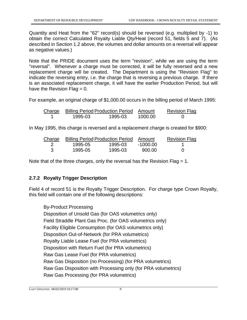Quantity and Heat from the "62" record(s) should be reversed (e.g. multiplied by -1) to obtain the correct Calculated Royalty Liable Qty/Heat (record 51, fields 5 and 7). (As described in Section 1.2 above, the volumes and dollar amounts on a reversal will appear as negative values.)

Note that the PRIDE document uses the term "revision", while we are using the term "reversal". Whenever a charge must be corrected, it will be fully reversed and a new replacement charge will be created. The Department is using the "Revision Flag" to indicate the reversing entry, i.e. the charge that is reversing a previous charge. If there is an associated replacement charge, it will have the earlier Production Period, but will have the Revision Flag  $= 0$ .

For example, an original charge of \$1,000.00 occurs in the billing period of March 1995:

| Charge |         | <b>Billing Period Production Period Amount</b> |         | <b>Revision Flag</b> |
|--------|---------|------------------------------------------------|---------|----------------------|
|        | 1995-03 | 1995-03                                        | 1000.00 |                      |

In May 1995, this charge is reversed and a replacement charge is created for \$900:

| Charge |         | <b>Billing Period Production Period Amount</b> |          | <b>Revision Flag</b> |
|--------|---------|------------------------------------------------|----------|----------------------|
|        | 1995-05 | 1995-03                                        | -1000.00 |                      |
|        | 1995-05 | 1995-03                                        | 900.00   |                      |

Note that of the three charges, only the reversal has the Revision Flag  $= 1$ .

#### **2.7.2 Royalty Trigger Description**

Field 4 of record 51 is the Royalty Trigger Description. For charge type Crown Royalty, this field will contain one of the following descriptions:

By-Product Processing Disposition of Unsold Gas (for OAS volumetrics only) Field Straddle Plant Gas Proc. (for OAS volumetrics only) Facility Eligible Consumption (for OAS volumetrics only) Disposition Out-of-Network (for PRA volumetrics) Royalty Liable Lease Fuel (for PRA volumetrics) Disposition with Return Fuel (for PRA volumetrics) Raw Gas Lease Fuel (for PRA volumetrics) Raw Gas Disposition (no Processing) (for PRA volumetrics) Raw Gas Disposition with Processing only (for PRA volumetrics) Raw Gas Processing (for PRA volumetrics)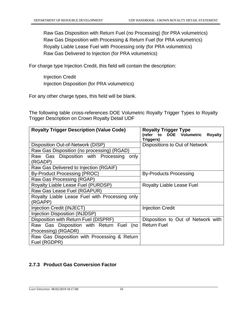Raw Gas Disposition with Return Fuel (no Processing) (for PRA volumetrics) Raw Gas Disposition with Processing & Return Fuel (for PRA volumetrics) Royalty Liable Lease Fuel with Processing only (for PRA volumetrics) Raw Gas Delivered to Injection (for PRA volumetrics)

For charge type Injection Credit, this field will contain the description:

Injection Credit Injection Disposition (for PRA volumetrics)

For any other charge types, this field will be blank.

The following table cross-references DOE Volumetric Royalty Trigger Types to Royalty Trigger Description on Crown Royalty Detail UDF

| <b>Royalty Trigger Description (Value Code)</b> | <b>Royalty Trigger Type</b>                             |
|-------------------------------------------------|---------------------------------------------------------|
|                                                 | <b>DOE</b> Volumetric<br><b>Royalty</b><br>(refer<br>to |
|                                                 | Triggers)                                               |
| Disposition Out-of-Network (DISP)               | Dispositions to Out of Network                          |
| Raw Gas Disposition (no processing) (RGAD)      |                                                         |
| Raw Gas Disposition with Processing<br>only     |                                                         |
| (RGADP)                                         |                                                         |
| Raw Gas Delivered to Injection (RGAIF)          |                                                         |
| By-Product Processing (PROC)                    | <b>By-Products Processing</b>                           |
| Raw Gas Processing (RGAP)                       |                                                         |
| Royalty Liable Lease Fuel (PURDSP)              | <b>Royalty Liable Lease Fuel</b>                        |
| Raw Gas Lease Fuel (RGAPUR)                     |                                                         |
| Royalty Liable Lease Fuel with Processing only  |                                                         |
| (RGAPP)                                         |                                                         |
| Injection Credit (INJECT)                       | <b>Injection Credit</b>                                 |
| Injection Disposition (INJDSP)                  |                                                         |
| Disposition with Return Fuel (DISPRF)           | Disposition to Out of Network with                      |
| Raw Gas Disposition with Return Fuel (no        | <b>Return Fuel</b>                                      |
| Processing) (RGADR)                             |                                                         |
| Raw Gas Disposition with Processing & Return    |                                                         |
| Fuel (RGDPR)                                    |                                                         |

#### **2.7.3 Product Gas Conversion Factor**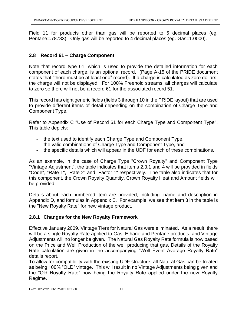Field 11 for products other than gas will be reported to 5 decimal places (eg. Pentane=.78783). Only gas will be reported to 4 decimal places (eg. Gas=1.0000).

#### **2.8 Record 61 – Charge Component**

Note that record type 61, which is used to provide the detailed information for each component of each charge, is an optional record. (Page A-15 of the PRIDE document states that "there must be at least one" record). If a charge is calculated as zero dollars, the charge will not be displayed. For 100% Freehold streams, all charges will calculate to zero so there will not be a record 61 for the associated record 51.

This record has eight generic fields (fields 3 through 10 in the PRIDE layout) that are used to provide different items of detail depending on the combination of Charge Type and Component Type.

Refer to Appendix C "Use of Record 61 for each Charge Type and Component Type". This table depicts:

- the text used to identify each Charge Type and Component Type,
- the valid combinations of Charge Type and Component Type, and
- the specific details which will appear in the UDF for each of these combinations.

As an example, in the case of Charge Type "Crown Royalty" and Component Type "Vintage Adjustment", the table indicates that items 2,3,1 and 4 will be provided in fields "Code", "Rate 1", "Rate 2" and "Factor 1" respectively. The table also indicates that for this component, the Crown Royalty Quantity, Crown Royalty Heat and Amount fields will be provided.

Details about each numbered item are provided, including: name and description in Appendix D, and formulas in Appendix E. For example, we see that item 3 in the table is the "New Royalty Rate" for new vintage product.

#### **2.8.1 Changes for the New Royalty Framework**

Effective January 2009, Vintage Tiers for Natural Gas were eliminated. As a result, there will be a single Royalty Rate applied to Gas, Ethane and Pentane products, and Vintage Adjustments will no longer be given. The Natural Gas Royalty Rate formula is now based on the Price and Well Production of the well producing that gas. Details of the Royalty Rate calculation are given in the accompanying "Well Event Average Royalty Rate" details report.

To allow for compatibility with the existing UDF structure, all Natural Gas can be treated as being 100% "OLD" vintage. This will result in no Vintage Adjustments being given and the "Old Royalty Rate" now being the Royalty Rate applied under the new Royalty Regime.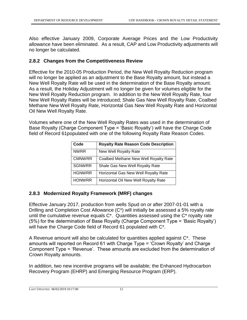Also effective January 2009, Corporate Average Prices and the Low Productivity allowance have been eliminated. As a result, CAP and Low Productivity adjustments will no longer be calculated.

#### **2.8.2 Changes from the Competitiveness Review**

Effective for the 2010-05 Production Period, the New Well Royalty Reduction program will no longer be applied as an adjustment to the Base Royalty amount, but instead a New Well Royalty Rate will be used in the determination of the Base Royalty amount. As a result, the Holiday Adjustment will no longer be given for volumes eligible for the New Well Royalty Reduction program. In addition to the New Well Royalty Rate, four New Well Royalty Rates will be introduced; Shale Gas New Well Royalty Rate, Coalbed Methane New Well Royalty Rate, Horizontal Gas New Well Royalty Rate and Horizontal Oil New Well Royalty Rate.

Volumes where one of the New Well Royalty Rates was used in the determination of Base Royalty (Charge Component Type = 'Basic Royalty') will have the Charge Code field of Record 61populated with one of the following Royalty Rate Reason Codes.

| Code          | <b>Royalty Rate Reason Code Description</b> |
|---------------|---------------------------------------------|
| <b>NWRR</b>   | New Well Royalty Rate                       |
| <b>CMNWRR</b> | Coalbed Methane New Well Royalty Rate       |
| <b>SGNWRR</b> | Shale Gas New Well Royalty Rate             |
| <b>HGNWRR</b> | Horizontal Gas New Well Royalty Rate        |
| <b>HONWRR</b> | Horizontal Oil New Well Royalty Rate        |

#### **2.8.3 Modernized Royalty Framework (MRF) changes**

Effective January 2017, production from wells Spud on or after 2007-01-01 with a Drilling and Completion Cost Allowance (C\*) will initially be assessed a 5% royalty rate until the cumulative revenue equals C\*. Quantities assessed using the C\* royalty rate (5%) for the determination of Base Royalty (Charge Component Type = 'Basic Royalty') will have the Charge Code field of Record 61 populated with  $C^*$ .

A Revenue amount will also be calculated for quantities applied against C\*. These amounts will reported on Record 61 with Charge Type = 'Crown Royalty' and Charge Component Type = 'Revenue'. These amounts are excluded from the determination of Crown Royalty amounts.

In addition, two new incentive programs will be available; the Enhanced Hydrocarbon Recovery Program (EHRP) and Emerging Resource Program (ERP).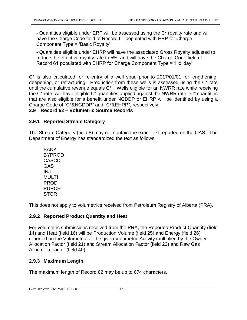- Quantities eligible under ERP will be assessed using the C\* royalty rate and will have the Charge Code field of Record 61 populated with ERP for Charge Component Type = 'Basic Royalty'.

- Quantities eligible under EHRP will have the associated Gross Royalty adjusted to reduce the effective royalty rate to 5%, and will have the Charge Code field of Record 61 populated with EHRP for Charge Component Type = 'Holiday'.

C\* is also calculated for re-entry of a well spud prior to 2017/01/01 for lengthening, deepening, or refracturing. Production from these wells is assessed using the C\* rate until the cumulative revenue equals C\*. Wells eligible for an NWRR rate while receiving the  $C^*$  rate, will have eligible  $C^*$  quantities applied against the NWRR rate.  $C^*$  quantities that are also eligible for a benefit under NGDDP or EHRP will be identified by using a Charge Code of "C\*&NGDDP" and "C\*&EHRP", respectively.

#### **2.9 Record 62 – Volumetric Source Records**

#### **2.9.1 Reported Stream Category**

The Stream Category (field 8) may not contain the exact text reported on the OAS. The Department of Energy has standardized the text as follows,

BANK BYPROD CASCD GAS INJ MULTI PROD PURCH **STOR** 

This does not apply to volumetrics received from Petroleum Registry of Alberta (PRA).

#### **2.9.2 Reported Product Quantity and Heat**

For volumetric submissions received from the PRA, the Reported Product Quantity (field 14) and Heat (field 16) will be Production Volume (field 25) and Energy (field 26) reported on the Volumetric for the given Volumetric Activity multiplied by the Owner Allocation Factor (field 21) and Stream Allocation Factor (field 23) and Raw Gas Allocation Factor (field 40).

#### **2.9.3 Maximum Length**

The maximum length of Record 62 may be up to 674 characters.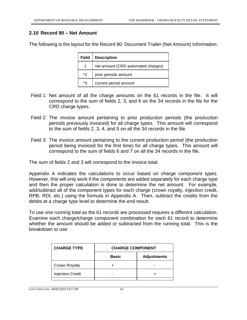#### **2.10 Record 90 – Net Amount**

The following is the layout for the Record 90: Document Trailer (Net Amount) Information:

| <b>Field</b> | <b>Description</b>                 |  |
|--------------|------------------------------------|--|
|              | net amount (CRD automated charges) |  |
| *2           | prior periods amount               |  |
| *3           | current period amount              |  |

- Field 1: Net amount of all the charge amounts on the 61 records in the file. It will correspond to the sum of fields 2, 3, and 6 on the 34 records in the file for the CRD charge types.
- Field 2: The invoice amount pertaining to prior production periods (the production periods previously invoiced) for all charge types. This amount will correspond to the sum of fields 2, 3, 4, and 5 on all the 34 records in the file.
- Field 3: The invoice amount pertaining to the current production period (the production period being invoiced for the first time) for all charge types. This amount will correspond to the sum of fields 6 and 7 on all the 34 records in the file.

The sum of fields 2 and 3 will correspond to the invoice total.

Appendix A indicates the calculations to occur based on charge component types. However, this will only work if the components are added separately for each charge type and then the proper calculation is done to determine the net amount. For example, add/subtract all of the component types for each charge (crown royalty, injection credit, RPB, RDI, etc.) using the formula in Appendix A. Then, subtract the credits from the debits at a charge type level to determine the end result.

To use one running total as the 61 records are processed requires a different calculation. Examine each charge/charge component combination for each 61 record to determine whether the amount should be added or subtracted from the running total. This is the breakdown to use:

| <b>CHARGE TYPE</b>      | <b>CHARGE COMPONENT</b> |                    |
|-------------------------|-------------------------|--------------------|
|                         | <b>Basic</b>            | <b>Adjustments</b> |
| Crown Royalty           |                         |                    |
| <b>Injection Credit</b> |                         |                    |
|                         |                         |                    |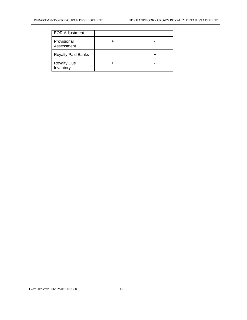| <b>EOR Adjustment</b>           |  |
|---------------------------------|--|
| Provisional<br>Assessment       |  |
| <b>Royalty Paid Banks</b>       |  |
| <b>Royalty Due</b><br>Inventory |  |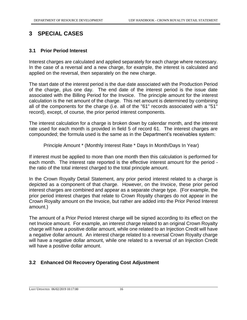# **3 SPECIAL CASES**

#### **3.1 Prior Period Interest**

Interest charges are calculated and applied separately for each charge where necessary. In the case of a reversal and a new charge, for example, the interest is calculated and applied on the reversal, then separately on the new charge.

The start date of the interest period is the due date associated with the Production Period of the charge, plus one day. The end date of the interest period is the issue date associated with the Billing Period for the Invoice. The principle amount for the interest calculation is the net amount of the charge. This net amount is determined by combining all of the components for the charge (i.e. all of the "61" records associated with a "51" record), except, of course, the prior period interest components.

The interest calculation for a charge is broken down by calendar month, and the interest rate used for each month is provided in field 5 of record 61. The interest charges are compounded; the formula used is the same as in the Department's receivables system:

Principle Amount \* (Monthly Interest Rate \* Days In Month/Days In Year)

If interest must be applied to more than one month then this calculation is performed for each month. The interest rate reported is the effective interest amount for the period the ratio of the total interest charged to the total principle amount.

In the Crown Royalty Detail Statement, any prior period interest related to a charge is depicted as a component of that charge. However, on the Invoice, these prior period interest charges are combined and appear as a separate charge type. (For example, the prior period interest charges that relate to Crown Royalty charges do not appear in the Crown Royalty amount on the Invoice, but rather are added into the Prior Period Interest amount.)

The amount of a Prior Period Interest charge will be signed according to its effect on the net Invoice amount. For example, an interest charge related to an original Crown Royalty charge will have a positive dollar amount, while one related to an Injection Credit will have a negative dollar amount. An interest charge related to a reversal Crown Royalty charge will have a negative dollar amount, while one related to a reversal of an Injection Credit will have a positive dollar amount.

#### **3.2 Enhanced Oil Recovery Operating Cost Adjustment**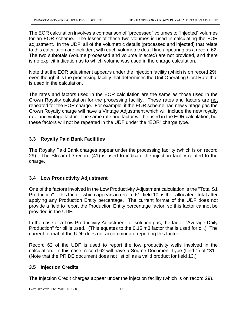The EOR calculation involves a comparison of "processed" volumes to "injected" volumes for an EOR scheme. The lesser of these two volumes is used in calculating the EOR adjustment. In the UDF, all of the volumetric details (processed and injected) that relate to this calculation are included, with each volumetric detail line appearing as a record 62. The two subtotals (volume processed and volume injected) are not provided, and there is no explicit indication as to which volume was used in the charge calculation.

Note that the EOR adjustment appears under the injection facility (which is on record 29), even though it is the processing facility that determines the Unit Operating Cost Rate that is used in the calculation.

The rates and factors used in the EOR calculation are the same as those used in the Crown Royalty calculation for the processing facility. These rates and factors are not repeated for the EOR charge. For example, if the EOR scheme had new vintage gas the Crown Royalty charge will have a Vintage Adjustment which will include the new royalty rate and vintage factor. The same rate and factor will be used in the EOR calculation, but these factors will not be repeated in the UDF under the "EOR" charge type.

#### **3.3 Royalty Paid Bank Facilities**

The Royalty Paid Bank charges appear under the processing facility (which is on record 29). The Stream ID record (41) is used to indicate the injection facility related to the charge.

#### **3.4 Low Productivity Adjustment**

One of the factors involved in the Low Productivity Adjustment calculation is the "Total S1 Production". This factor, which appears in record 61, field 10, is the "allocated" total after applying any Production Entity percentage. The current format of the UDF does not provide a field to report the Production Entity percentage factor, so this factor cannot be provided in the UDF.

In the case of a Low Productivity Adjustment for solution gas, the factor "Average Daily Production" for oil is used. (This equates to the 0.15 m3 factor that is used for oil.) The current format of the UDF does not accommodate reporting this factor.

Record 62 of the UDF is used to report the low productivity wells involved in the calculation. In this case, record 62 will have a Source Document Type (field 1) of "S1". (Note that the PRIDE document does not list oil as a valid product for field 13.)

#### **3.5 Injection Credits**

The Injection Credit charges appear under the injection facility (which is on record 29).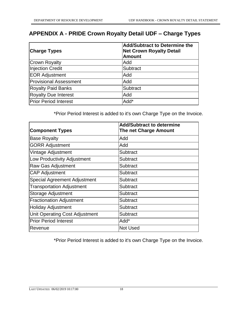# **APPENDIX A - PRIDE Crown Royalty Detail UDF – Charge Types**

| <b>Charge Types</b>           | <b>Add/Subtract to Determine the</b><br><b>Net Crown Royalty Detail</b><br><b>Amount</b> |
|-------------------------------|------------------------------------------------------------------------------------------|
| <b>Crown Royalty</b>          | Add                                                                                      |
| Injection Credit              | Subtract                                                                                 |
| <b>EOR Adjustment</b>         | Add                                                                                      |
| <b>Provisional Assessment</b> | Add                                                                                      |
| <b>Royalty Paid Banks</b>     | <b>Subtract</b>                                                                          |
| <b>Royalty Due Interest</b>   | Add                                                                                      |
| <b>Prior Period Interest</b>  | Add*                                                                                     |

\*Prior Period Interest is added to it's own Charge Type on the Invoice.

| <b>Component Types</b>              | <b>Add/Subtract to determine</b><br>The net Charge Amount |
|-------------------------------------|-----------------------------------------------------------|
| <b>Base Royalty</b>                 | Add                                                       |
| <b>GORR Adjustment</b>              | Add                                                       |
| Vintage Adjustment                  | Subtract                                                  |
| Low Productivity Adjustment         | Subtract                                                  |
| Raw Gas Adjustment                  | Subtract                                                  |
| <b>CAP Adjustment</b>               | <b>Subtract</b>                                           |
| <b>Special Agreement Adjustment</b> | Subtract                                                  |
| <b>Transportation Adjustment</b>    | Subtract                                                  |
| <b>Storage Adjustment</b>           | Subtract                                                  |
| <b>Fractionation Adjustment</b>     | Subtract                                                  |
| <b>Holiday Adjustment</b>           | Subtract                                                  |
| Unit Operating Cost Adjustment      | Subtract                                                  |
| <b>Prior Period Interest</b>        | Add*                                                      |
| Revenue                             | <b>Not Used</b>                                           |

\*Prior Period Interest is added to it's own Charge Type on the Invoice.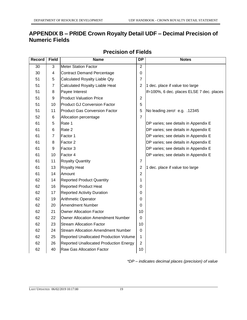# **APPENDIX B – PRIDE Crown Royalty Detail UDF – Decimal Precision of Numeric Fields**

| Record | <b>Field</b>   | <b>Name</b>                                   | <b>DP</b>      | <b>Notes</b>                              |
|--------|----------------|-----------------------------------------------|----------------|-------------------------------------------|
| 30     | 3              | <b>Meter Station Factor</b>                   | $\overline{2}$ |                                           |
| 30     | 4              | <b>Contract Demand Percentage</b>             | 0              |                                           |
| 51     | 5              | Calculated Royalty Liable Qty                 | $\overline{7}$ |                                           |
| 51     | $\overline{7}$ | <b>Calculated Royalty Liable Heat</b>         | $\overline{2}$ | 1 dec. place if value too large           |
| 51     | 8              | Payee Interest                                |                | If=100%, 6 dec. places ELSE 7 dec. places |
| 51     | 9              | <b>Product Valuation Price</b>                | $\overline{2}$ |                                           |
| 51     | 10             | <b>Product GJ Conversion Factor</b>           | 5              |                                           |
| 51     | 11             | <b>Product Gas Conversion Factor</b>          | 5              | No leading zero! e.g. .12345              |
| 52     | 6              | Allocation percentage                         | $\overline{7}$ |                                           |
| 61     | 5              | Rate 1                                        |                | DP varies; see details in Appendix E      |
| 61     | 6              | Rate 2                                        |                | DP varies; see details in Appendix E      |
| 61     | $\overline{7}$ | Factor 1                                      |                | DP varies; see details in Appendix E      |
| 61     | 8              | Factor 2                                      |                | DP varies; see details in Appendix E      |
| 61     | 9              | Factor 3                                      |                | DP varies; see details in Appendix E      |
| 61     | 10             | Factor 4                                      |                | DP varies; see details in Appendix E      |
| 61     | 11             | <b>Royalty Quantity</b>                       | $\overline{7}$ |                                           |
| 61     | 13             | Royalty Heat                                  | $\overline{2}$ | 1 dec. place if value too large           |
| 61     | 14             | Amount                                        | $\overline{2}$ |                                           |
| 62     | 14             | <b>Reported Product Quantity</b>              | 1              |                                           |
| 62     | 16             | <b>Reported Product Heat</b>                  | 0              |                                           |
| 62     | 17             | <b>Reported Activity Duration</b>             | $\mathbf 0$    |                                           |
| 62     | 19             | <b>Arithmetic Operator</b>                    | 0              |                                           |
| 62     | 20             | <b>Amendment Number</b>                       | 0              |                                           |
| 62     | 21             | <b>Owner Allocation Factor</b>                | 10             |                                           |
| 62     | 22             | <b>Owner Allocation Amendment Number</b>      | $\mathbf 0$    |                                           |
| 62     | 23             | <b>Stream Allocation Factor</b>               | 10             |                                           |
| 62     | 24             | <b>Stream Allocation Amendment Number</b>     | 0              |                                           |
| 62     | 25             | Reported Unallocated Production Volume        | 1              |                                           |
| 62     | 26             | <b>Reported Unallocated Production Energy</b> | $\overline{2}$ |                                           |
| 62     | 40             | <b>Raw Gas Allocation Factor</b>              | 10             |                                           |

# **Precision of Fields**

*\*DP – indicates decimal places (precision) of value*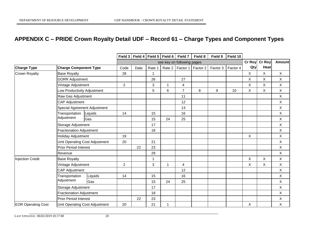# **APPENDIX C – PRIDE Crown Royalty Detail UDF – Record 61 – Charge Types and Component Types**

|                           |                                |                                 |                | Field 3   Field 4   Field 5   Field 6 |        |          | Field 7        | Field 8  | Field 9  | Field 10 |                |                |               |
|---------------------------|--------------------------------|---------------------------------|----------------|---------------------------------------|--------|----------|----------------|----------|----------|----------|----------------|----------------|---------------|
|                           |                                |                                 |                | see key on following pages            |        |          |                |          |          |          | <b>Cr Roy</b>  | <b>Cr Roy</b>  | <b>Amount</b> |
| <b>Charge Type</b>        | <b>Charge Component Type</b>   | Code                            | Date           | Rate 1                                | Rate 2 | Factor 1 | Factor 2       | Factor 3 | Factor 4 | Qty      | Heat           |                |               |
| <b>Crown Royalty</b>      | <b>Base Royalty</b>            |                                 | 28             |                                       | 1      |          |                |          |          |          | $\mathsf{X}$   | $\mathsf{X}$   | X             |
|                           | <b>GORR Adjustment</b>         |                                 |                |                                       | 26     |          | 27             |          |          |          | X              | X              | X             |
|                           | Vintage Adjustment             |                                 | $\overline{2}$ |                                       | 3      |          | 4              |          |          |          | X              | X              | X             |
|                           | Low Productivity Adjustment    |                                 |                |                                       | 5      | 6        | $\overline{7}$ | 8        | 9        | 10       | X              | X              | X             |
|                           | Raw Gas Adjustment             |                                 |                |                                       |        |          | 11             |          |          |          |                |                | X             |
|                           | <b>CAP Adjustment</b>          |                                 |                |                                       |        |          | 12             |          |          |          |                |                | X             |
|                           | Special Agreement Adjustment   |                                 |                |                                       |        |          | 13             |          |          |          |                |                | X             |
|                           | Transportation                 | Liquids                         | 14             |                                       | 15     |          | 16             |          |          |          |                |                | X             |
|                           | Adjustment                     | Gas                             |                |                                       | 15     | 24       | 25             |          |          |          |                |                | X             |
|                           | Storage Adjustment             |                                 |                | 17                                    |        |          |                |          |          |          |                | X              |               |
|                           |                                | <b>Fractionation Adjustment</b> |                |                                       | 18     |          |                |          |          |          |                |                | X             |
|                           | Holiday Adjustment             |                                 | 19             |                                       |        |          |                |          |          |          | $\pmb{\times}$ |                | $\mathsf{X}$  |
|                           | Unit Operating Cost Adjustment |                                 | 20             |                                       | 21     |          |                |          |          |          |                |                | X             |
|                           |                                | <b>Prior Period Interest</b>    |                |                                       | 23     |          |                |          |          |          |                |                | X             |
|                           | Revenue                        |                                 |                |                                       | 29     |          |                |          |          |          |                |                | X             |
| <b>Injection Credit</b>   | <b>Base Royalty</b>            |                                 |                |                                       |        |          |                |          |          |          | $\pmb{\times}$ | $\pmb{\times}$ | $\mathsf X$   |
|                           | Vintage Adjustment             |                                 | $\overline{c}$ |                                       | 3      | 1        | $\overline{4}$ |          |          |          | $\mathsf X$    | X              | $\mathsf{X}$  |
|                           | <b>CAP Adjustment</b>          |                                 |                |                                       |        |          | 12             |          |          |          |                |                | X             |
|                           | Transportation                 | Liquids                         | 14             |                                       | 15     |          | 16             |          |          |          |                |                | X             |
|                           | Adjustment                     | Gas                             |                |                                       | 15     | 24       | 25             |          |          |          |                |                | X             |
|                           |                                | Storage Adjustment              |                |                                       | 17     |          |                |          |          |          |                |                | X             |
|                           |                                | <b>Fractionation Adjustment</b> |                |                                       | 18     |          |                |          |          |          |                |                | Χ             |
|                           | Prior Period Interest          |                                 |                | 22                                    | 23     |          |                |          |          |          |                |                | X             |
| <b>EOR Operating Cost</b> | Unit Operating Cost Adjustment |                                 | 20             |                                       | 21     | 1        |                |          |          |          | $\mathsf X$    |                | X             |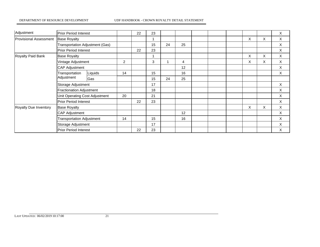#### DEPARTMENT OF RESOURCE DEVELOPMENT UDF HANDBOOK - CROWN ROYALTY DETAIL STATEMENT

| Adjustment             | <b>Prior Period Interest</b>     |                                 | 22             | 23 |    |    |    |   |   | X                         |          |
|------------------------|----------------------------------|---------------------------------|----------------|----|----|----|----|---|---|---------------------------|----------|
| Provisional Assessment | <b>Base Royalty</b>              |                                 |                |    |    |    |    | X | X | X                         |          |
|                        |                                  | Transportation Adjustment (Gas) |                |    | 15 | 24 | 25 |   |   |                           | Χ        |
|                        | <b>Prior Period Interest</b>     |                                 |                | 22 | 23 |    |    |   |   |                           | Χ        |
| Royalty Paid Bank      | <b>Base Royalty</b>              |                                 |                |    |    |    |    |   | X | X                         | Χ        |
|                        | Vintage Adjustment               |                                 | $\overline{c}$ |    | 3  | 1  | 4  |   | X | X                         | Χ        |
|                        | <b>CAP Adjustment</b>            |                                 |                |    |    |    | 12 |   |   |                           | X        |
|                        | Transportation<br>Adjustment     | Liquids                         | 14             |    | 15 |    | 16 |   |   |                           | X        |
|                        |                                  | Gas                             |                |    | 15 | 24 | 25 |   |   |                           |          |
|                        | Storage Adjustment               |                                 |                |    | 17 |    |    |   |   |                           | X        |
|                        | Fractionation Adjustment         |                                 |                |    | 18 |    |    |   |   |                           | X        |
|                        | Unit Operating Cost Adjustment   | 20                              |                | 21 |    |    |    |   |   | $\boldsymbol{\mathsf{X}}$ |          |
|                        |                                  | <b>Prior Period Interest</b>    |                |    | 23 |    |    |   |   |                           | $\times$ |
| Royalty Due Inventory  | <b>Base Royalty</b>              |                                 |                |    |    |    |    |   | X | Χ                         | Χ        |
|                        |                                  | <b>CAP Adjustment</b>           |                |    |    |    | 12 |   |   |                           | X        |
|                        | <b>Transportation Adjustment</b> |                                 | 14             |    | 15 |    | 16 |   |   |                           | X        |
|                        | Storage Adjustment               |                                 |                |    | 17 |    |    |   |   |                           | X        |
|                        | <b>Prior Period Interest</b>     |                                 |                | 22 | 23 |    |    |   |   |                           | X        |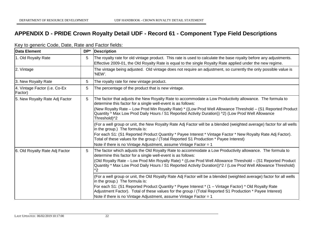# **APPENDIX D - PRIDE Crown Royalty Detail UDF - Record 61 - Component Type Field Descriptions**

| Data Element                             | DP* | Description                                                                                                                                                                                                                                  |
|------------------------------------------|-----|----------------------------------------------------------------------------------------------------------------------------------------------------------------------------------------------------------------------------------------------|
| 1. Old Royalty Rate                      | 5   | The royalty rate for old vintage product. This rate is used to calculate the base royalty before any adjustments.<br>Effective 2009-01, the Old Royalty Rate is equal to the single Royalty Rate applied under the new regime.               |
| 2. Vintage                               |     | The vintage being adjusted. Old vintage does not require an adjustment, so currently the only possible value is<br>'NEW'.                                                                                                                    |
| 3. New Royalty Rate                      | 5   | The royalty rate for new vintage product.                                                                                                                                                                                                    |
| 4. Vintage Factor (i.e. Co-Ex<br>Factor) | 5   | The percentage of the product that is new vintage.                                                                                                                                                                                           |
| 5. New Royalty Rate Adj Factor           | 5   | The factor that adjusts the New Royalty Rate to accommodate a Low Productivity allowance. The formula to<br>determine this factor for a single well-event is as follows:                                                                     |
|                                          |     | (New Royalty Rate – Low Prod Min Royalty Rate) * ((Low Prod Well Allowance Threshold – (S1 Reported Product<br>Quantity * Max Low Prod Daily Hours / S1 Reported Activity Duration)) ^2) (Low Prod Well Allowance<br>Threshold)^2            |
|                                          |     | (For a well group or unit, the New Royalty Rate Adj Factor will be a blended (weighted average) factor for all wells<br>in the group.) The formula is:                                                                                       |
|                                          |     | For each S1: (S1 Reported Product Quantity * Payee Interest * Vintage Factor * New Royalty Rate Adj Factor).<br>Total of these values for the group / (Total Reported S1 Production * Payee Interest)                                        |
|                                          |     | Note if there is no Vintage Adjustment, assume Vintage Factor = 1                                                                                                                                                                            |
| 6. Old Royalty Rate Adj Factor           | 5   | The factor which adjusts the Old Royalty Rate to accommodate a Low Productivity allowance. The formula to<br>determine this factor for a single well-event is as follows:                                                                    |
|                                          |     | (Old Royalty Rate - Low Prod Min Royalty Rate) * ((Low Prod Well Allowance Threshold - (S1 Reported Product<br>Quantity * Max Low Prod Daily Hours / S1 Reported Activity Duration))^2 / (Low Prod Well Allowance Threshold)<br>$^{\wedge2}$ |
|                                          |     | (For a well group or unit, the Old Royalty Rate Adj Factor will be a blended (weighted average) factor for all wells<br>in the group.) The formula is:                                                                                       |
|                                          |     | For each S1: (S1 Reported Product Quantity * Payee Interest * (1 - Vintage Factor) * Old Royalty Rate<br>Adjustment Factor). Total of these values for the group / (Total Reported S1 Production * Payee Interest)                           |
|                                          |     | Note if there is no Vintage Adjustment, assume Vintage Factor = 1                                                                                                                                                                            |

#### Key to generic Code, Date, Rate and Factor fields: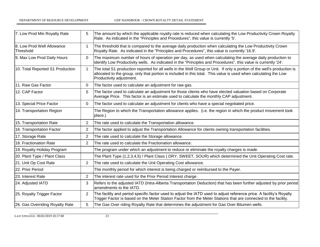| 7. Low Prod Min Royalty Rate                   | 5              | The amount by which the applicable royalty rate is reduced when calculating the Low Productivity Crown Royalty<br>Rate. As indicated in the "Principles and Procedures", this value is currently '5'.                                                                   |
|------------------------------------------------|----------------|-------------------------------------------------------------------------------------------------------------------------------------------------------------------------------------------------------------------------------------------------------------------------|
| 8. Low Prod Well Allowance<br><b>Threshold</b> | $\mathbf{1}$   | The threshold that is compared to the average daily production when calculating the Low Productivity Crown<br>Royalty Rate. As indicated in the "Principles and Procedures", this value is currently '16.9'.                                                            |
| 9. Max Low Prod Daily Hours                    | $\Omega$       | The maximum number of hours of operation per day, as used when calculating the average daily production to<br>identify Low Productivity wells. As indicated in the "Principles and Procedures", this value is currently '24'.                                           |
| 10. Total Reported S1 Production               | $\mathbf{1}$   | The total S1 production reported for all wells in the Well Group or Unit. If only a portion of the well's production is<br>allocated to the group, only that portion is included in this total. This value is used when calculating the Low<br>Productivity adjustment. |
| 11. Raw Gas Factor                             | $\Omega$       | The factor used to calculate an adjustment for raw gas.                                                                                                                                                                                                                 |
| 12. CAP Factor                                 | 5              | The factor used to calculate an adjustment for those clients who have elected valuation based on Corporate<br>Average Price. This factor is an estimate used to calculate the monthly CAP adjustment.                                                                   |
| 13. Special Price Factor                       | $\Omega$       | The factor used to calculate an adjustment for clients who have a special negotiated price.                                                                                                                                                                             |
| 14. Transportation Region                      |                | The Region to which the Transportation allowance applies. (i.e. the region in which the product movement took<br>place.)                                                                                                                                                |
| 15. Transportation Rate                        | 2              | The rate used to calculate the Transportation allowance.                                                                                                                                                                                                                |
| 16. Transportation Factor                      | 2              | The factor applied to adjust the Transportation Allowance for clients owning transportation facilities.                                                                                                                                                                 |
| 17. Storage Rate                               | 2              | The rate used to calculate the Storage allowance.                                                                                                                                                                                                                       |
| 18. Fractionation Rate                         | $\overline{2}$ | The rate used to calculate the Fractionation allowance.                                                                                                                                                                                                                 |
| 19. Royalty Holiday Program                    |                | The program under which an adjustment to reduce or eliminate the royalty charges is made.                                                                                                                                                                               |
| 20. Plant Type / Plant Class                   |                | The Plant Type (1,2,3,4,5) / Plant Class (DRY, SWEET, SOUR) which determined the Unit Operating Cost rate.                                                                                                                                                              |
| 21. Unit Op Cost Rate                          | $\overline{2}$ | The rate used to calculate the Unit Operating Cost allowance.                                                                                                                                                                                                           |
| 22. Prior Period                               |                | The monthly period for which interest is being charged or reimbursed to the Payer.                                                                                                                                                                                      |
| 23. Interest Rate                              | $\overline{2}$ | The interest rate used for the Prior Period Interest charge.                                                                                                                                                                                                            |
| 24. Adjusted IATD                              | 3              | Refers to the adjusted IATD (Intra-Alberta Transportation Deduction) that has been further adjusted by prior period<br>amendments to the IATD.                                                                                                                          |
| 25. Royalty Trigger Factor                     | $\overline{2}$ | The facility and period specific factor used to adjust the IATD used to adjust reference price. A facility's Royalty<br>Trigger Factor is based on the Meter Station Factor from the Meter Stations that are connected to the facility.                                 |
| 26. Gas Overriding Royalty Rate                | 5              | The Gas Over riding Royalty Rate that determines the adjustment for Gas Over Bitumen wells.                                                                                                                                                                             |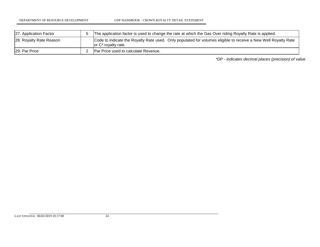| 27. Application Factor  | The application factor is used to change the rate at which the Gas Over riding Royalty Rate is applied.                                   |  |  |  |
|-------------------------|-------------------------------------------------------------------------------------------------------------------------------------------|--|--|--|
| 28. Royalty Rate Reason | Code to indicate the Royalty Rate used. Only populated for volumes eligible to receive a New Well Royalty Rate<br>$ or C^*$ royalty rate. |  |  |  |
| 129. Par Price          | Par Price used to calculate Revenue.                                                                                                      |  |  |  |

*\*DP - indicates decimal places (precision) of value*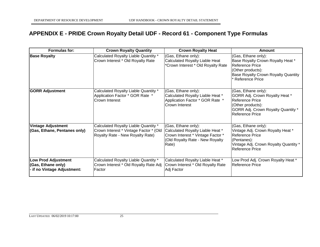# **APPENDIX E - PRIDE Crown Royalty Detail UDF - Record 61 - Component Type Formulas**

| Formulas for:                                                                   | <b>Crown Royalty Quantity</b>                                                                                      | <b>Crown Royalty Heat</b>                                                                                                                | <b>Amount</b>                                                                                                                                                            |
|---------------------------------------------------------------------------------|--------------------------------------------------------------------------------------------------------------------|------------------------------------------------------------------------------------------------------------------------------------------|--------------------------------------------------------------------------------------------------------------------------------------------------------------------------|
| <b>Base Royalty</b>                                                             | Calculated Royalty Liable Quantity *<br>Crown Interest * Old Royalty Rate                                          | (Gas, Ethane only):<br>Calculated Royalty Liable Heat<br>*Crown Interest * Old Royalty Rate                                              | (Gas, Ethane only):<br>Base Royalty Crown Royalty Heat *<br>Reference Price<br>(Other products):<br><b>Base Royalty Crown Royalty Quantity</b><br><b>Reference Price</b> |
| <b>GORR Adjustment</b>                                                          | Calculated Royalty Liable Quantity *<br>Application Factor * GOR Rate *<br><b>Crown Interest</b>                   | (Gas, Ethane only):<br>Calculated Royalty Liable Heat *<br>Application Factor * GOR Rate *<br><b>Crown Interest</b>                      | (Gas, Ethane only):<br>GORR Adj. Crown Royalty Heat *<br><b>Reference Price</b><br>(Other products):<br>GORR Adj. Crown Royalty Quantity *<br>Reference Price            |
| <b>Vintage Adjustment</b><br>(Gas, Ethane, Pentanes only)                       | Calculated Royalty Liable Quantity *<br>Crown Interest * Vintage Factor * (Old<br>Royalty Rate - New Royalty Rate) | (Gas, Ethane only):<br>Calculated Royalty Liable Heat *<br>Crown Interest * Vintage Factor *<br>(Old Royalty Rate - New Royalty<br>Rate) | (Gas, Ethane only):<br>Vintage Adj. Crown Royalty Heat *<br><b>Reference Price</b><br>(Pentanes):<br>Vintage Adj. Crown Royalty Quantity *<br><b>Reference Price</b>     |
| <b>Low Prod Adjustment</b><br>(Gas, Ethane only)<br>- if no Vintage Adjustment: | Calculated Royalty Liable Quantity *<br>Crown Interest * Old Royalty Rate Adj<br>Factor                            | Calculated Royalty Liable Heat *<br>Crown Interest * Old Royalty Rate<br>Adj Factor                                                      | Low Prod Adj. Crown Royalty Heat *<br>Reference Price                                                                                                                    |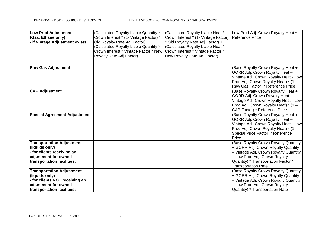| <b>Low Prod Adjustment</b><br>(Gas, Ethane only)<br>- if Vintage Adjustment exists:                                                        | (Calculated Royalty Liable Quantity *<br>Crown Interest * (1- Vintage Factor) *<br>Old Royalty Rate Adj Factor) +<br>(Calculated Royalty Liable Quantity *<br>Crown Interest * Vintage Factor * New<br>Royalty Rate Adj Factor) | (Calculated Royalty Liable Heat *<br>Crown Interest * (1- Vintage Factor)<br>Old Royalty Rate Adj Factor) +<br>(Calculated Royalty Liable Heat *<br>Crown Interest * Vintage Factor *<br>New Royalty Rate Adj Factor) | Low Prod Adj. Crown Royalty Heat *<br>Reference Price                                                                                                                                                                     |
|--------------------------------------------------------------------------------------------------------------------------------------------|---------------------------------------------------------------------------------------------------------------------------------------------------------------------------------------------------------------------------------|-----------------------------------------------------------------------------------------------------------------------------------------------------------------------------------------------------------------------|---------------------------------------------------------------------------------------------------------------------------------------------------------------------------------------------------------------------------|
| <b>Raw Gas Adjustment</b>                                                                                                                  |                                                                                                                                                                                                                                 |                                                                                                                                                                                                                       | (Base Royalty Crown Royalty Heat +<br>GORR Adj. Crown Royalty Heat -<br>Vintage Adj. Crown Royalty Heat - Low<br>Prod Adj. Crown Royalty Heat) * (1-<br>Raw Gas Factor) * Reference Price                                 |
| <b>CAP Adjustment</b>                                                                                                                      |                                                                                                                                                                                                                                 |                                                                                                                                                                                                                       | (Base Royalty Crown Royalty Heat +<br>GORR Adj. Crown Royalty Heat -<br>Vintage Adj. Crown Royalty Heat - Low<br>Prod Adj. Crown Royalty Heat) * (1 -<br>CAP Factor) * Reference Price                                    |
| <b>Special Agreement Adjustment</b>                                                                                                        |                                                                                                                                                                                                                                 |                                                                                                                                                                                                                       | (Base Royalty Crown Royalty Heat +<br>GORR Adj. Crown Royalty Heat -<br>Vintage Adj. Crown Royalty Heat - Low<br>Prod Adj. Crown Royalty Heat) * (1-<br>Special Price Factor) * Reference<br>Price                        |
| <b>Transportation Adjustment</b><br>(liquids only)<br>- for clients receiving an<br>adjustment for owned<br>transportation facilities:     |                                                                                                                                                                                                                                 |                                                                                                                                                                                                                       | (Base Royalty Crown Royalty Quantity<br>+ GORR Adj. Crown Royalty Quantity<br>- Vintage Adj. Crown Royalty Quantity<br>- Low Prod Adj. Crown Royalty<br>Quantity) * Transportation Factor *<br><b>Transportation Rate</b> |
| <b>Transportation Adjustment</b><br>(liquids only)<br>- for clients NOT receiving an<br>adjustment for owned<br>transportation facilities: |                                                                                                                                                                                                                                 |                                                                                                                                                                                                                       | (Base Royalty Crown Royalty Quantity<br>+ GORR Adj. Crown Royalty Quantity<br>- Vintage Adj. Crown Royalty Quantity<br>- Low Prod Adj. Crown Royalty<br>Quantity) * Transportation Rate                                   |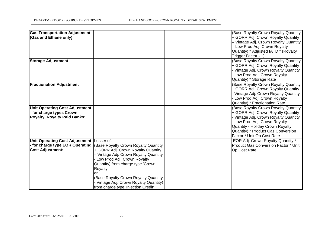| <b>Gas Transportation Adjustment</b><br>(Gas and Ethane only)                                            |                                                                                                                                                                                                                                                                                                                                          | (Base Royalty Crown Royalty Quantity<br>+ GORR Adj. Crown Royalty Quantity<br>- Vintage Adj. Crown Royalty Quantity<br>- Low Prod Adj. Crown Royalty<br>Quantity) * Adjusted IATD * (Royalty<br>Trigger Factor - 1)                                        |
|----------------------------------------------------------------------------------------------------------|------------------------------------------------------------------------------------------------------------------------------------------------------------------------------------------------------------------------------------------------------------------------------------------------------------------------------------------|------------------------------------------------------------------------------------------------------------------------------------------------------------------------------------------------------------------------------------------------------------|
| <b>Storage Adjustment</b>                                                                                |                                                                                                                                                                                                                                                                                                                                          | (Base Royalty Crown Royalty Quantity<br>+ GORR Adj. Crown Royalty Quantity<br>- Vintage Adj. Crown Royalty Quantity<br>Low Prod Adj. Crown Royalty<br>Quantity) * Storage Rate                                                                             |
| <b>Fractionation Adjustment</b>                                                                          |                                                                                                                                                                                                                                                                                                                                          | (Base Royalty Crown Royalty Quantity<br>+ GORR Adj. Crown Royalty Quantity<br>- Vintage Adj. Crown Royalty Quantity<br>Low Prod Adj. Crown Royalty<br>Quantity) * Fractionation Rate                                                                       |
| <b>Unit Operating Cost Adjustment</b><br>- for charge types Crown<br><b>Royalty, Royalty Paid Banks:</b> |                                                                                                                                                                                                                                                                                                                                          | (Base Royalty Crown Royalty Quantity<br>+ GORR Adj. Crown Royalty Quantity<br>- Vintage Adj. Crown Royalty Quantity<br>Low Prod Adj. Crown Royalty<br>Quantity - Holiday Crown Royalty<br>Quantity) * Product Gas Conversion<br>Factor * Unit Op Cost Rate |
| Unit Operating Cost Adjustment Lesser of:<br>for charge type EOR Operating<br><b>Cost Adjustment:</b>    | <b>(Base Royalty Crown Royalty Quantity)</b><br>+ GORR Adj. Crown Royalty Quantity<br>- Vintage Adj. Crown Royalty Quantity<br>Low Prod Adj. Crown Royalty<br>Quantity) from charge type 'Crown<br>Royalty'<br>or<br>(Base Royalty Crown Royalty Quantity<br>Vintage Adj. Crown Royalty Quantity)<br>from charge type 'Injection Credit' | EOR Adj. Crown Royalty Quantity *<br><b>Product Gas Conversion Factor * Unit</b><br>Op Cost Rate                                                                                                                                                           |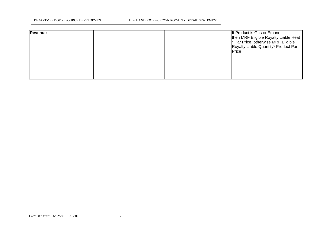| Revenue |  | If Product is Gas or Ethane,<br>then MRF Eligible Royalty Liable Heat<br><sup>*</sup> Par Price, otherwise MRF Eligible<br>Royalty Liable Quantity* Product Par<br>Price |
|---------|--|--------------------------------------------------------------------------------------------------------------------------------------------------------------------------|
|         |  |                                                                                                                                                                          |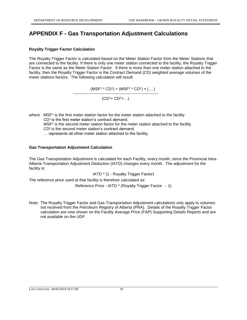# **APPENDIX F - Gas Transportation Adjustment Calculations**

#### **Royalty Trigger Factor Calculation**

The Royalty Trigger Factor is calculated based on the Meter Station Factor from the Meter Stations that are connected to the facility. If there is only one meter station connected to the facility, the Royalty Trigger Factor is the same as the Meter Station Factor. If there is more than one meter station attached to the facility, then the Royalty Trigger Factor is the Contract Demand (CD) weighted average volumes of the meter stations factors. The following calculation will result:

 $(MSF<sup>1</sup> * CD<sup>1</sup>) + (MSF<sup>2</sup> * CD<sup>2</sup>) + (....)$ 

 $(CD<sup>1</sup>+ CD<sup>2</sup>+...)$ 

where MSF<sup>1</sup> is the first meter station factor for the meter station attached to the facility CD<sup>1</sup> is the first meter station's contract demand. MSF<sup>2</sup> is the second meter station factor for the meter station attached to the facility CD<sup>2</sup> is the second meter station's contract demand. … represents all other meter station attached to the facility.

#### **Gas Transportation Adjustment Calculation**

The Gas Transportation Adjustment is calculated for each Facility, every month, since the Provincial Intra-Alberta Transportation Adjustment Deduction (IATD) changes every month. The adjustment for the facility is:

IATD \* (1 - Royalty Trigger Factor)

The reference price used at that facility is therefore calculated as:

Reference Price - IATD \* (Royalty Trigger Factor - 1)

Note: The Royalty Trigger Factor and Gas Transportation Adjustment calculations only apply to volumes not received from the Petroleum Registry of Alberta (PRA). Details of the Royalty Trigger Factor calculation are now shown on the Facility Average Price (FAP) Supporting Details Reports and are not available on the UDF.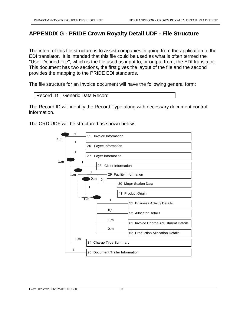# **APPENDIX G - PRIDE Crown Royalty Detail UDF - File Structure**

The intent of this file structure is to assist companies in going from the application to the EDI translator. It is intended that this file could be used as what is often termed the "User Defined File", which is the file used as input to, or output from, the EDI translator. This document has two sections, the first gives the layout of the file and the second provides the mapping to the PRIDE EDI standards.

The file structure for an Invoice document will have the following general form:

```
Record ID | Generic Data Record
```
The Record ID will identify the Record Type along with necessary document control information.

The CRD UDF will be structured as shown below.

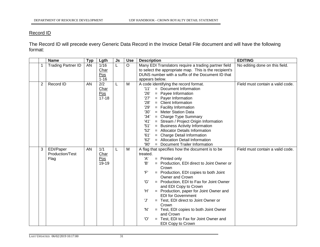#### Record ID

The Record ID will precede every Generic Data Record in the Invoice Detail File document and will have the following format:

|   | <b>Name</b>                          | <b>Typ</b> | Lgth                            | Js | <b>Use</b> | <b>Description</b>                                                                                                                                                                                                                                                                                                                                                                                                                                                                                                                                                            | <b>EDITING</b>                   |
|---|--------------------------------------|------------|---------------------------------|----|------------|-------------------------------------------------------------------------------------------------------------------------------------------------------------------------------------------------------------------------------------------------------------------------------------------------------------------------------------------------------------------------------------------------------------------------------------------------------------------------------------------------------------------------------------------------------------------------------|----------------------------------|
|   | <b>Trading Partner ID</b>            | AN         | 1/16<br>Char<br>Pos<br>$1 - 16$ | L  | $\circ$    | Many EDI Translators require a trading partner field<br>to select the appropriate map. This is the recipient's<br>DUNS number with a suffix of the Document ID that<br>appears below.                                                                                                                                                                                                                                                                                                                                                                                         | No editing done on this field.   |
| 2 | Record ID                            | AN         | 2/2<br>Char<br>Pos<br>$17 - 18$ | L  | M          | A code identifying the record format.<br>'11'<br>= Document Information<br>'26'<br>= Payee Information<br>'27'<br>$=$ Payer Information<br>'28'<br>$=$ Client Information<br>'29'<br>$=$ Facility Information<br>'30'<br>= Meter Station Data<br>34'<br>$=$ Charge Type Summary<br>'41'<br>= Stream / Project Origin Information<br>'51'<br>= Business Activity Information<br>'52'<br>= Allocator Details Information<br>'61'<br>= Charge Detail Information<br>'62'<br>= Allocation Detail Information<br>'90'<br>= Document Trailer Information                            | Field must contain a valid code. |
| 3 | EDI/Paper<br>Production/Test<br>Flag | AN         | 1/1<br>Char<br>Pos<br>19-19     | L  | M          | A flag that specifies how the document is to be<br>treated.<br>'A'<br>$=$ Printed only<br>'B'<br>= Production, EDI direct to Joint Owner or<br>Crown<br>'F'<br>= Production, EDI copies to both Joint<br>Owner and Crown<br>'G'<br>= Production, EDI to Fax for Joint Owner<br>and EDI Copy to Crown<br>'H'<br>= Production, paper for Joint Owner and<br><b>EDI</b> for Government<br>'J'<br>= Test, EDI direct to Joint Owner or<br>Crown<br>'N'<br>= Test, EDI copies to both Joint Owner<br>and Crown<br>'O'<br>Test, EDI to Fax for Joint Owner and<br>EDI Copy to Crown | Field must contain a valid code. |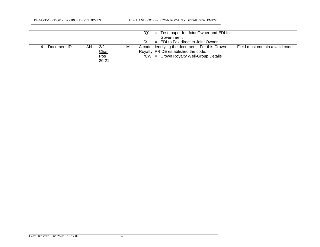DEPARTMENT OF RESOURCE DEVELOPMENT UDF HANDBOOK - CROWN ROYALTY DETAIL STATEMENT

|  |             |    |                                                             |   | Test, paper for Joint Owner and EDI for<br>'Q'<br>$=$ |                                  |
|--|-------------|----|-------------------------------------------------------------|---|-------------------------------------------------------|----------------------------------|
|  |             |    |                                                             |   | Government                                            |                                  |
|  |             |    |                                                             |   | $=$ EDI to Fax direct to Joint Owner                  |                                  |
|  | Document ID | AN | 2/2                                                         | м | A code identifying the document. For this Crown       | Field must contain a valid code. |
|  |             |    |                                                             |   | Royalty, PRIDE established the code:                  |                                  |
|  |             |    | $\frac{\text{Char}}{\text{Pos}}\\ \frac{\text{Pos}}{20-21}$ |   | 'CW' = Crown Royalty Well-Group Details               |                                  |
|  |             |    |                                                             |   |                                                       |                                  |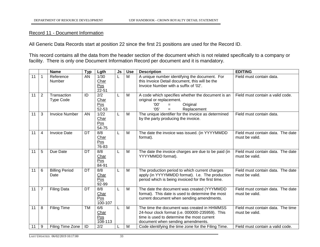#### Record 11 - Document Information

All Generic Data Records start at position 22 since the first 21 positions are used for the Record ID.

This record contains all the data from the header section of the document which is not related specifically to a company or facility. There is only one Document Information Record per document and it is mandatory.

|    |                | <b>Name</b>                     | <b>Typ</b> | Lgth                                     | <b>Js</b> | <b>Use</b>     | <b>Description</b>                                                                                                                                                                | <b>EDITING</b>                                      |
|----|----------------|---------------------------------|------------|------------------------------------------|-----------|----------------|-----------------------------------------------------------------------------------------------------------------------------------------------------------------------------------|-----------------------------------------------------|
| 11 | 1              | Reference<br>Number             | AN         | 1/30<br>Char<br>Pos<br>$22 - 51$         |           | $\overline{M}$ | A unique number identifying the document. For<br>this Invoice Detail document, this will be the<br>Invoice Number with a suffix of '02'.                                          | Field must contain data.                            |
| 11 | 2              | Transaction<br><b>Type Code</b> | ID         | 2/2<br>Char<br>Pos<br>52-53              | L         | M              | A code which specifies whether the document is an<br>original or replacement.<br>'00'<br>Original<br>$=$<br>'05'<br>Replacement<br>$=$                                            | Field must contain a valid code.                    |
| 11 | 3              | <b>Invoice Number</b>           | AN.        | 1/22<br>Char<br>Pos<br>54-75             | L         | M              | The unique identifier for the invoice as determined<br>by the party producing the invoice.                                                                                        | Field must contain data.                            |
| 11 | 4              | <b>Invoice Date</b>             | DT         | 8/8<br>Char<br>Pos<br>76-83              | L.        | M              | The date the invoice was issued. (in YYYYMMDD<br>format).                                                                                                                         | Field must contain data. The date<br>must be valid. |
| 11 | 5              | Due Date                        | DT         | $\overline{8/8}$<br>Char<br>Pos<br>84-91 | L         | M              | The date the invoice charges are due to be paid (in<br>YYYYMMDD format).                                                                                                          | Field must contain data. The date<br>must be valid. |
| 11 | 6              | <b>Billing Period</b><br>Date   | DT         | 8/8<br>Char<br>Pos<br>92-99              | L         | M              | The production period to which current charges<br>apply (in YYYYMMDD format). I.e. The production<br>period which is being invoiced for the first time.                           | Field must contain data. The date<br>must be valid. |
| 11 | $\overline{7}$ | <b>Filing Data</b>              | DT         | 8/8<br>Char<br>Pos<br>100-107            | L.        | M              | The date the document was created (YYYMMDD<br>format). This date is used to determine the most<br>current document when sending amendments.                                       | Field must contain data. The date<br>must be valid. |
| 11 | 8              | <b>Filing Time</b>              | <b>TM</b>  | 6/6<br>Char<br>Pos<br>108-113            | L         | M              | The time the document was created in HHMMSS<br>24-hour clock format (i.e. 000000-235959). This<br>time is used to determine the most current<br>document when sending amendments. | Field must contain data. The time<br>must be valid. |
| 11 | 9              | Filing Time Zone                | ID         | 2/2                                      |           | M              | Code identifying the time zone for the Filing Time.                                                                                                                               | Field must contain a valid code.                    |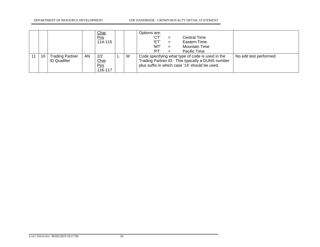|    |                                               |    | <b>Char</b><br>$\underline{\text{Pos}}$<br>114-115 |   | Options are:<br>'CT'<br><b>Central Time</b><br>$=$<br>'ET'<br>Eastern Time<br>$=$<br>'MT'<br><b>Mountain Time</b><br>$=$<br>'PT'<br>Pacific Time<br>$=$                           |
|----|-----------------------------------------------|----|----------------------------------------------------|---|-----------------------------------------------------------------------------------------------------------------------------------------------------------------------------------|
| 10 | <b>Trading Partner</b><br><b>ID Qualifier</b> | AN | 2/2<br><b>Char</b><br>Pos<br>116-117               | M | Code specifying what type of code is used in the<br>No edit test performed.<br>Trading Partner ID. This typically a DUNS number<br>plus suffix in which case '14' should be used. |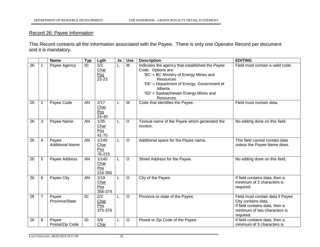## Record 26: Payee Information

This Record contains all the information associated with the Payee. There is only one Operator Record per document and it is mandatory.

|    |                | <b>Name</b>                     | <b>Typ</b> | Lgth                            | Js | <b>Use</b> | <b>Description</b>                                                                                                                                                                                                                                       | <b>EDITING</b>                                                                                                                         |
|----|----------------|---------------------------------|------------|---------------------------------|----|------------|----------------------------------------------------------------------------------------------------------------------------------------------------------------------------------------------------------------------------------------------------------|----------------------------------------------------------------------------------------------------------------------------------------|
| 26 |                | Payee Agency                    | ID         | 2/2<br>Char<br>Pos<br>$22 - 23$ |    | M          | Indicates the agency that established the Payee<br>Code. Options are:<br>'BC' = BC Ministry of Energy Mines and<br><b>Resources</b><br>'DE' = Department of Energy, Government of<br>Alberta<br>'SD' = Saskatchewan Energy Mines and<br><b>Resources</b> | Field must contain a valid code.                                                                                                       |
| 26 | $\overline{2}$ | Payee Code                      | AN         | 2/17<br>Char<br>Pos<br>24-40    |    | M          | Code that identifies the Payee.                                                                                                                                                                                                                          | Field must contain data.                                                                                                               |
| 26 | 3              | Payee Name                      | AN         | 1/35<br>Char<br>Pos<br>41-75    |    | $\circ$    | Textual name of the Payee which generated the<br>invoice.                                                                                                                                                                                                | No editing done on this field.                                                                                                         |
| 26 | 4              | Payee<br><b>Additional Name</b> | AN         | 1/140<br>Char<br>Pos<br>76-215  |    | $\circ$    | Additional space for the Payee name.                                                                                                                                                                                                                     | This field cannot contain data<br>unless the Payee Name does.                                                                          |
| 26 | 5              | Payee Address                   | AN         | 1/140<br>Char<br>Pos<br>216-355 |    | $\circ$    | Street Address for the Payee.                                                                                                                                                                                                                            | No editing done on this field.                                                                                                         |
| 26 | 6              | Payee City                      | AN         | 2/19<br>Char<br>Pos<br>356-374  |    | $\circ$    | City of the Payee.                                                                                                                                                                                                                                       | If field contains data, then a<br>minimum of 2 characters is<br>required.                                                              |
| 26 | $\overline{7}$ | Payee<br>Province/State         | ID         | 2/2<br>Char<br>Pos<br>375-376   |    | $\circ$    | Province or state of the Payee.                                                                                                                                                                                                                          | Field must contain data if Payee<br>City contains data.<br>If field contains data, then a<br>minimum of two characters is<br>required. |
| 26 | 8              | Payee<br>Postal/Zip Code        | ID         | 5/9<br>Char                     |    | $\circ$    | Postal or Zip Code of the Payee.                                                                                                                                                                                                                         | If field contains data, then a<br>minimum of 5 characters is                                                                           |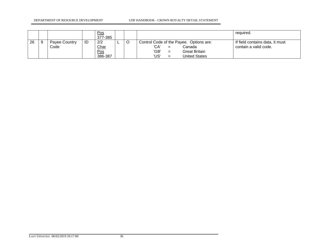#### DEPARTMENT OF RESOURCE DEVELOPMENT UDF HANDBOOK - CROWN ROYALTY DETAIL STATEMENT

|    |                       |    | <u>Pos</u><br>377-385         |   |                                                                                                                                         | required.                                                |
|----|-----------------------|----|-------------------------------|---|-----------------------------------------------------------------------------------------------------------------------------------------|----------------------------------------------------------|
| 26 | Payee Country<br>Code | ID | 2/2<br>Char<br>Pos<br>386-387 | O | Control Code of the Payee. Options are:<br>'CA'<br>Canada<br>$=$<br>'GB'<br>Great Britain<br>$=$<br>'US'<br><b>United States</b><br>$=$ | If field contains data, it must<br>contain a valid code. |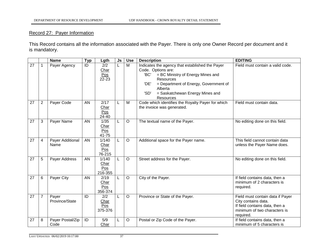## Record 27: Payer Information

This Record contains all the information associated with the Payer. There is only one Owner Record per document and it is mandatory.

|    |                | <b>Name</b>              | <b>Typ</b> | Lgth                                       | Js | <b>Use</b> | <b>Description</b>                                                                                                                                                                                                                                                | <b>EDITING</b>                                                                                                                         |
|----|----------------|--------------------------|------------|--------------------------------------------|----|------------|-------------------------------------------------------------------------------------------------------------------------------------------------------------------------------------------------------------------------------------------------------------------|----------------------------------------------------------------------------------------------------------------------------------------|
| 27 |                | Payer Agency             | ID         | 2/2<br>Char<br>Pos<br>22-23                |    | M          | Indicates the agency that established the Payer<br>Code. Options are:<br>'BC'<br>= BC Ministry of Energy Mines and<br><b>Resources</b><br>'DE'<br>= Department of Energy, Government of<br>Alberta<br>'SD'<br>= Saskatchewan Energy Mines and<br><b>Resources</b> | Field must contain a valid code.                                                                                                       |
| 27 | $\overline{2}$ | Payer Code               | AN         | 2/17<br>Char<br>Pos<br>24-40               |    | M          | Code which identifies the Royalty Payer for which<br>the invoice was generated.                                                                                                                                                                                   | Field must contain data.                                                                                                               |
| 27 | 3              | Payer Name               | AN         | 1/35<br>Char<br>Pos<br>41-75               |    | $\circ$    | The textual name of the Payer.                                                                                                                                                                                                                                    | No editing done on this field.                                                                                                         |
| 27 | 4              | Payer Additional<br>Name | AN         | 1/140<br>Char<br>Pos<br>76-215             |    | $\circ$    | Additional space for the Payer name.                                                                                                                                                                                                                              | This field cannot contain data<br>unless the Payer Name does.                                                                          |
| 27 | 5              | Payer Address            | AN         | 1/140<br>Char<br>Pos<br>216-355            |    | $\circ$    | Street address for the Payer.                                                                                                                                                                                                                                     | No editing done on this field.                                                                                                         |
| 27 | 6              | Payer City               | AN         | 2/19<br>Char<br>Pos<br>356-374             |    | $\circ$    | City of the Payer.                                                                                                                                                                                                                                                | If field contains data, then a<br>minimum of 2 characters is<br>required.                                                              |
| 27 | $\overline{7}$ | Payer<br>Province/State  | ID         | $\overline{2/2}$<br>Char<br>Pos<br>375-376 |    | $\circ$    | Province or State of the Payer.                                                                                                                                                                                                                                   | Field must contain data if Payer<br>City contains data.<br>If field contains data, then a<br>minimum of two characters is<br>required. |
| 27 | 8              | Payer Postal/Zip<br>Code | ID         | 5/9<br>Char                                |    | $\circ$    | Postal or Zip Code of the Payer.                                                                                                                                                                                                                                  | If field contains data, then a<br>minimum of 5 characters is                                                                           |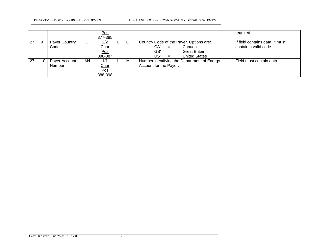#### DEPARTMENT OF RESOURCE DEVELOPMENT UDF HANDBOOK - CROWN ROYALTY DETAIL STATEMENT

|    |    |                         |    | Pos<br>377-385                       |         |                                                                                                                                                | required.                                                |
|----|----|-------------------------|----|--------------------------------------|---------|------------------------------------------------------------------------------------------------------------------------------------------------|----------------------------------------------------------|
| 27 | 9  | Payer Country<br>Code   | ID | 2/2<br><b>Char</b><br>Pos<br>386-387 | $\circ$ | Country Code of the Payer. Options are:<br>'CA'<br>Canada<br>$=$<br>'GB'<br><b>Great Britain</b><br>$=$<br>'US'<br><b>United States</b><br>$=$ | If field contains data, it must<br>contain a valid code. |
| 27 | 10 | Payer Account<br>Number | AN | 1/1<br>Char<br>Pos<br>388-398        | M       | Number identifying the Department of Energy<br>Account for the Payer.                                                                          | Field must contain data.                                 |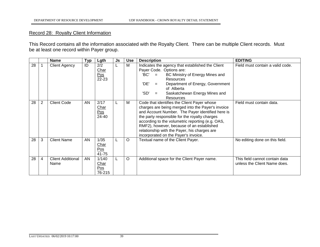## Record 28: Royalty Client Information

This Record contains all the information associated with the Royalty Client. There can be multiple Client records. Must be at least one record within Payer group.

|    |                | <b>Name</b>                      | <b>Typ</b> | Lgth                           | Js | <b>Use</b> | <b>Description</b>                                                                                                                                                                                                                                                                                                                                                                             | <b>EDITING</b>                                                 |
|----|----------------|----------------------------------|------------|--------------------------------|----|------------|------------------------------------------------------------------------------------------------------------------------------------------------------------------------------------------------------------------------------------------------------------------------------------------------------------------------------------------------------------------------------------------------|----------------------------------------------------------------|
| 28 |                | <b>Client Agency</b>             | ID         | 2/2<br>Char<br>Pos<br>22-23    | L  | M          | Indicates the agency that established the Client<br>Payer Code. Options are:<br>'BC'<br>BC Ministry of Energy Mines and<br>$=$<br><b>Resources</b><br>'DE'<br>Department of Energy, Government<br>$=$<br>of Alberta<br>'SD'<br>Saskatchewan Energy Mines and<br>$=$<br>Resources                                                                                                               | Field must contain a valid code.                               |
| 28 | $\overline{2}$ | <b>Client Code</b>               | AN         | 2/17<br>Char<br>Pos<br>24-40   |    | м          | Code that identifies the Client Payer whose<br>charges are being merged into the Payer's invoice<br>and Account Number. The Payer identified here is<br>the party responsible for the royalty charges<br>according to the volumetric reporting (e.g. OAS,<br>RMF2), however, because of an established<br>relationship with the Payer, his charges are<br>incorporated on the Payer's invoice. | Field must contain data.                                       |
| 28 | 3              | <b>Client Name</b>               | AN         | 1/35<br>Char<br>Pos<br>41-75   |    | O          | Textual name of the Client Payer.                                                                                                                                                                                                                                                                                                                                                              | No editing done on this field.                                 |
| 28 | 4              | <b>Client Additional</b><br>Name | AN         | 1/140<br>Char<br>Pos<br>76-215 | L  | O          | Additional space for the Client Payer name.                                                                                                                                                                                                                                                                                                                                                    | This field cannot contain data<br>unless the Client Name does. |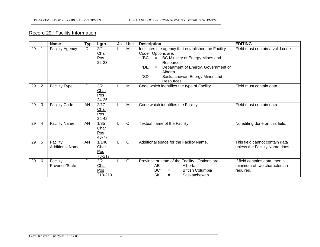# Record 29: Facility Information

|    |                | <b>Name</b>                        | Typ | Lgth                                  | Js | <b>Use</b> | <b>Description</b>                                                                                                                                                                                                                                                    | <b>EDITING</b>                                                              |
|----|----------------|------------------------------------|-----|---------------------------------------|----|------------|-----------------------------------------------------------------------------------------------------------------------------------------------------------------------------------------------------------------------------------------------------------------------|-----------------------------------------------------------------------------|
| 29 |                | <b>Facility Agency</b>             | ID  | 2/2<br>Char<br>Pos<br>22-23           |    | M          | Indicates the agency that established the Facility<br>Code. Options are:<br>'BC'<br>BC Ministry of Energy Mines and<br>$=$<br>Resources<br>'DE'<br>Department of Energy, Government of<br>$=$<br>Alberta<br>'SD'<br>Saskatchewan Energy Mines and<br>$=$<br>Resources | Field must contain a valid code.                                            |
| 29 | $\overline{2}$ | <b>Facility Type</b>               | ID  | 2/2<br>Char<br>Pos<br>24-25           |    | M          | Code which identifies the type of Facility.                                                                                                                                                                                                                           | Field must contain data.                                                    |
| 29 | 3              | <b>Facility Code</b>               | AN  | 2/17<br>Char<br>Pos<br>26-42          |    | M          | Code which identifies the Facility.                                                                                                                                                                                                                                   | Field must contain data.                                                    |
| 29 | $\overline{4}$ | <b>Facility Name</b>               | AN  | 1/35<br>Char<br>Pos<br>43-77          |    | $\circ$    | Textual name of the Facility.                                                                                                                                                                                                                                         | No editing done on this field.                                              |
| 29 | 5              | Facility<br><b>Additional Name</b> | AN  | 1/140<br><u>Char</u><br>Pos<br>78-217 | L  | $\circ$    | Additional space for the Facility Name.                                                                                                                                                                                                                               | This field cannot contain data<br>unless the Facility Name does.            |
| 29 | 6              | Facility<br>Province/State         | ID  | 2/2<br>Char<br>Pos<br>218-219         |    | $\circ$    | Province or state of the Facility. Options are:<br>'AB'<br>Alberta<br>$=$<br>'BC'<br><b>British Columbia</b><br>$=$<br>'SK'<br>Saskatchewan<br>$=$                                                                                                                    | If field contains data, then a<br>minimum of two characters in<br>required. |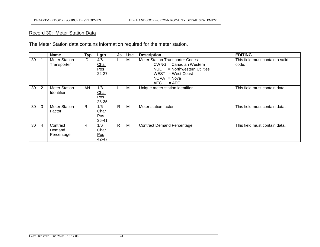## Record 30: Meter Station Data

The Meter Station data contains information required for the meter station.

|    |   | <b>Name</b>                               | <b>Typ</b>   | Lgth                                     | <b>Js</b>    | <b>Use</b> | <b>Description</b>                                                                                                                                           | <b>EDITING</b>                           |
|----|---|-------------------------------------------|--------------|------------------------------------------|--------------|------------|--------------------------------------------------------------------------------------------------------------------------------------------------------------|------------------------------------------|
| 30 |   | <b>Meter Station</b><br>Transporter       | ID           | 4/6<br>Char<br>Pos<br>$\overline{22-27}$ | L            | М          | Meter Station Transporter Codes:<br><b>CWNG</b> = Canadian Western<br>NUL = Northwestern Utilities<br>$WEST = West Coast$<br>$NOVA = Nova$<br>AEC<br>$= AEC$ | This field must contain a valid<br>code. |
| 30 | 2 | <b>Meter Station</b><br><b>Identifier</b> | AN           | 1/8<br>Char<br>Pos<br>28-35              | ┺            | М          | Unique meter station identifier                                                                                                                              | This field must contain data.            |
| 30 | 3 | <b>Meter Station</b><br>Factor            | R            | 1/6<br>Char<br>Pos<br>36-41              | $\mathsf{R}$ | M          | Meter station factor                                                                                                                                         | This field must contain data.            |
| 30 | 4 | Contract<br>Demand<br>Percentage          | $\mathsf{R}$ | 1/6<br>Char<br>Pos<br>42-47              | $\mathsf{R}$ | M          | <b>Contract Demand Percentage</b>                                                                                                                            | This field must contain data.            |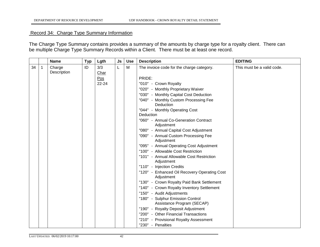# Record 34: Charge Type Summary Information

The Charge Type Summary contains provides a summary of the amounts by charge type for a royalty client. There can be multiple Charge Type Summary Records within a Client. There must be at least one record.

|    |                          | <b>Name</b>           | <b>Typ</b> | Lgth        | <b>Js</b> | <b>Use</b> | <b>Description</b>                                             | <b>EDITING</b>             |
|----|--------------------------|-----------------------|------------|-------------|-----------|------------|----------------------------------------------------------------|----------------------------|
| 34 | $\overline{\phantom{a}}$ | Charge<br>Description | ID         | 3/3<br>Char | L         | M          | The invoice code for the charge category.                      | This must be a valid code. |
|    |                          |                       |            | Pos         |           |            | PRIDE:                                                         |                            |
|    |                          |                       |            | 22-24       |           |            | "010" - Crown Royalty                                          |                            |
|    |                          |                       |            |             |           |            | "020" - Monthly Proprietary Waiver                             |                            |
|    |                          |                       |            |             |           |            | "030" - Monthly Capital Cost Deduction                         |                            |
|    |                          |                       |            |             |           |            | "040" - Monthly Custom Processing Fee<br>Deduction             |                            |
|    |                          |                       |            |             |           |            | "044" - Monthly Operating Cost                                 |                            |
|    |                          |                       |            |             |           |            | Deduction                                                      |                            |
|    |                          |                       |            |             |           |            | "060" - Annual Co-Generation Contract<br>Adjustment            |                            |
|    |                          |                       |            |             |           |            | "080" - Annual Capital Cost Adjustment                         |                            |
|    |                          |                       |            |             |           |            | "090" - Annual Custom Processing Fee<br>Adjustment             |                            |
|    |                          |                       |            |             |           |            | "095" - Annual Operating Cost Adjustment                       |                            |
|    |                          |                       |            |             |           |            | "100" - Allowable Cost Restriction                             |                            |
|    |                          |                       |            |             |           |            | "101" - Annual Allowable Cost Restriction<br>Adjustment        |                            |
|    |                          |                       |            |             |           |            | "110" - Injection Credits                                      |                            |
|    |                          |                       |            |             |           |            | "120" - Enhanced Oil Recovery Operating Cost<br>Adjustment     |                            |
|    |                          |                       |            |             |           |            | "130" - Crown Royalty Paid Bank Settlement                     |                            |
|    |                          |                       |            |             |           |            | "140" - Crown Royalty Inventory Settlement                     |                            |
|    |                          |                       |            |             |           |            | "150" - Audit Adjustments                                      |                            |
|    |                          |                       |            |             |           |            | "180" - Sulphur Emission Control<br>Assistance Program (SECAP) |                            |
|    |                          |                       |            |             |           |            | "190" - Royalty Deposit Adjustment                             |                            |
|    |                          |                       |            |             |           |            | "200" - Other Financial Transactions                           |                            |
|    |                          |                       |            |             |           |            | "210" - Provisional Royalty Assessment                         |                            |
|    |                          |                       |            |             |           |            | "230" - Penalties                                              |                            |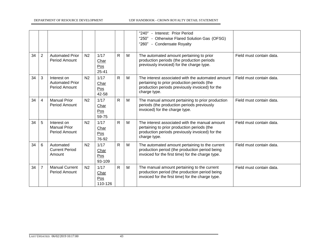DEPARTMENT OF RESOURCE DEVELOPMENT UDF HANDBOOK - CROWN ROYALTY DETAIL STATEMENT

|    |                |                                                        |                |                                  |              |   | "240" - Interest: Prior Period<br>"250" - Otherwise Flared Solution Gas (OFSG)<br>"260" - Condensate Royalty                                                        |                          |
|----|----------------|--------------------------------------------------------|----------------|----------------------------------|--------------|---|---------------------------------------------------------------------------------------------------------------------------------------------------------------------|--------------------------|
| 34 | $\overline{2}$ | <b>Automated Prior</b><br><b>Period Amount</b>         | N <sub>2</sub> | 1/17<br>Char<br>Pos<br>$25 - 41$ | $\mathsf{R}$ | M | The automated amount pertaining to prior<br>production periods (the production periods<br>previously invoiced) for the charge type.                                 | Field must contain data. |
| 34 | 3              | Interest on<br><b>Automated Prior</b><br>Period Amount | N <sub>2</sub> | 1/17<br>Char<br>Pos<br>42-58     | R.           | M | The interest associated with the automated amount<br>pertaining to prior production periods (the<br>production periods previously invoiced) for the<br>charge type. | Field must contain data. |
| 34 | 4              | <b>Manual Prior</b><br><b>Period Amount</b>            | N <sub>2</sub> | 1/17<br>Char<br>Pos<br>59-75     | R.           | M | The manual amount pertaining to prior production<br>periods (the production periods previously<br>invoiced) for the charge type.                                    | Field must contain data. |
| 34 | 5              | Interest on<br><b>Manual Prior</b><br>Period Amount    | N <sub>2</sub> | 1/17<br>Char<br>Pos<br>76-92     | $\mathsf{R}$ | M | The interest associated with the manual amount<br>pertaining to prior production periods (the<br>production periods previously invoiced) for the<br>charge type.    | Field must contain data. |
| 34 | 6              | Automated<br><b>Current Period</b><br>Amount           | N <sub>2</sub> | 1/17<br>Char<br>Pos<br>93-109    | R.           | M | The automated amount pertaining to the current<br>production period (the production period being<br>invoiced for the first time) for the charge type.               | Field must contain data. |
| 34 | $\overline{7}$ | <b>Manual Current</b><br><b>Period Amount</b>          | N <sub>2</sub> | 1/17<br>Char<br>Pos<br>110-126   | R.           | M | The manual amount pertaining to the current<br>production period (the production period being<br>invoiced for the first time) for the charge type.                  | Field must contain data. |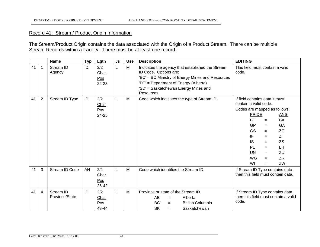#### Record 41: Stream / Product Origin Information

The Stream/Product Origin contains the data associated with the Origin of a Product Stream. There can be multiple Stream Records within a Facility. There must be at least one record.

|    |                | <b>Name</b>                 | <b>Typ</b> | Lgth                                             | Js | <b>Use</b> | <b>Description</b>                                                                                                                                                                                                          | <b>EDITING</b>                                                                                                                                                                                                                                                                                                                              |
|----|----------------|-----------------------------|------------|--------------------------------------------------|----|------------|-----------------------------------------------------------------------------------------------------------------------------------------------------------------------------------------------------------------------------|---------------------------------------------------------------------------------------------------------------------------------------------------------------------------------------------------------------------------------------------------------------------------------------------------------------------------------------------|
| 41 | 1              | Stream ID<br>Agency         | ID         | 2/2<br>Char<br>Pos<br>22-23                      | L  | M          | Indicates the agency that established the Stream<br>ID Code. Options are:<br>'BC' = BC Ministry of Energy Mines and Resources<br>'DE' = Department of Energy (Alberta)<br>'SD' = Saskatchewan Energy Mines and<br>Resources | This field must contain a valid<br>code.                                                                                                                                                                                                                                                                                                    |
| 41 | $\overline{2}$ | Stream ID Type              | ID         | 2/2<br>Char<br>$\underline{\text{Pos}}$<br>24-25 | L  | M          | Code which indicates the type of Stream ID.                                                                                                                                                                                 | If field contains data it must<br>contain a valid code.<br>Codes are mapped as follows:<br><b>PRIDE</b><br><b>ANSI</b><br><b>BT</b><br>BA<br>$=$<br>GP<br>GA<br>$=$<br><b>GS</b><br>ZG<br>$=$<br>IF<br>ΖI<br>$=$<br><b>IS</b><br><b>ZS</b><br>$=$<br><b>PL</b><br>LH<br>$=$<br>UN<br>ZU<br>$=$<br>WG<br><b>ZR</b><br>$=$<br>WI<br>ZW<br>$=$ |
| 41 | 3              | Stream ID Code              | AN         | 2/2<br><b>Char</b><br>Pos<br>26-42               | L  | M          | Code which identifies the Stream ID.                                                                                                                                                                                        | If Stream ID Type contains data<br>then this field must contain data.                                                                                                                                                                                                                                                                       |
| 41 | 4              | Stream ID<br>Province/State | ID         | 2/2<br>Char<br>Pos<br>43-44                      | L  | M          | Province or state of the Stream ID.<br>'AB'<br>Alberta<br>$=$<br>'BC'<br><b>British Columbia</b><br>$=$<br>'SK'<br>Saskatchewan<br>$=$                                                                                      | If Stream ID Type contains data<br>then this field must contain a valid<br>code.                                                                                                                                                                                                                                                            |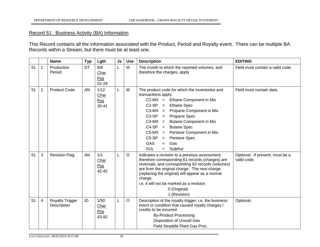#### Record 51: Business Activity (BA) Information

This Record contains all the information associated with the Product, Period and Royalty event. There can be multiple BA Records within a Stream, but there must be at least one.

|    |                | <b>Name</b>                           | <b>Typ</b> | Lgth                             | Js | <b>Use</b> | <b>Description</b>                                                                                                                                                                                                                                                                                                                                                                                                      | <b>EDITING</b>                                 |
|----|----------------|---------------------------------------|------------|----------------------------------|----|------------|-------------------------------------------------------------------------------------------------------------------------------------------------------------------------------------------------------------------------------------------------------------------------------------------------------------------------------------------------------------------------------------------------------------------------|------------------------------------------------|
| 51 | 1              | Production<br>Period                  | DT         | 8/8<br>Char<br>Pos<br>22-29      | L  | М          | The month to which the reported volumes, and<br>therefore the charges, apply                                                                                                                                                                                                                                                                                                                                            | Field must contain a valid code.               |
| 51 | $\overline{2}$ | <b>Product Code</b>                   | AN         | 1/12<br>Char<br>Pos<br>$30 - 41$ | L  | M          | The product code for which the Inventories and<br>transactions apply.<br>$C2-MX =$<br>Ethane Component in Mix<br>$C2-SP =$ Ethane Spec<br>$C3-MX =$ Propane Component in Mix<br>$C3-SP = Propane Spec$<br>$C4-MX =$<br><b>Butane Component in Mix</b><br>$C4-SP =$<br><b>Butane Spec</b><br>$C5-MX =$ Pentane Component in Mix<br>$C5-SP =$<br>Pentane Spec<br><b>GAS</b><br>Gas<br>$=$<br><b>SUL</b><br>Sulphur<br>$=$ | Field must contain data.                       |
| 51 | 3              | <b>Revision Flag</b>                  | <b>AN</b>  | 1/1<br>Char<br>Pos<br>42-42      | L  | O          | Indicates a revision to a previous assessment,<br>therefore corresponding 61 records (charges) are<br>reversals, and corresponding 62 records (volumes)<br>are from the original charge. The new charge<br>(replacing the original) will appear as a normal<br>charge,<br>i.e. it will not be marked as a revision.<br>0 (Original)<br>1 (Revision)                                                                     | Optional. If present, must be a<br>valid code. |
| 51 | 4              | <b>Royalty Trigger</b><br>Description | ID         | 1/50<br>Char<br>Pos<br>43-92     | L  | $\circ$    | Description of the royalty trigger, i.e. the business<br>event or condition that caused royalty charges /<br>credits to be incurred.<br><b>By-Product Processing</b><br>Disposition of Unsold Gas<br>Field Straddle Plant Gas Proc.                                                                                                                                                                                     | Optional.                                      |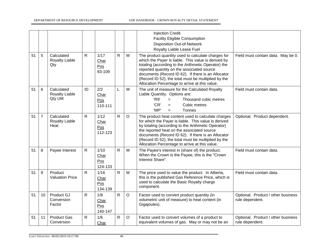DEPARTMENT OF RESOURCE DEVELOPMENT UDF HANDBOOK - CROWN ROYALTY DETAIL STATEMENT

|    |                 |                                             |              |                                |              |         | <b>Injection Credit</b><br><b>Facility Eligible Consumption</b><br><b>Disposition Out-of-Network</b><br>Royalty Liable Lease Fuel                                                                                                                                                                                                                                             |                                                       |
|----|-----------------|---------------------------------------------|--------------|--------------------------------|--------------|---------|-------------------------------------------------------------------------------------------------------------------------------------------------------------------------------------------------------------------------------------------------------------------------------------------------------------------------------------------------------------------------------|-------------------------------------------------------|
| 51 | 5               | Calculated<br>Royalty Liable<br>Qty         | $\mathsf{R}$ | 1/17<br>Char<br>Pos<br>93-109  | $\mathsf{R}$ | M       | The product quantity used to calculate charges for<br>which the Payer is liable. This value is derived by<br>totaling (according to the Arithmetic Operator) the<br>reported quantity on the associated source<br>documents (Record ID 62). If there is an Allocator<br>(Record ID 52), the total must be multiplied by the<br>Allocation Percentage to arrive at this value. | Field must contain data. May be 0.                    |
| 51 | 6               | Calculated<br>Royalty Liable<br>Qty UM      | ID           | 2/2<br>Char<br>Pos<br>110-111  | L            | M       | The unit of measure for the Calculated Royalty<br>Liable Quantity. Options are:<br>'R9'<br>Thousand cubic metres<br>$=$<br>'CR'<br>Cubic metres<br>$=$<br>'MP'<br>Tonnes<br>$=$                                                                                                                                                                                               | Field must contain data.                              |
| 51 | 7               | Calculated<br><b>Royalty Liable</b><br>Heat | $\mathsf{R}$ | 1/12<br>Char<br>Pos<br>112-123 | $\mathsf{R}$ | $\circ$ | The product heat content used to calculate charges<br>for which the Payer is liable. This value is derived<br>by totaling (according to the Arithmetic Operator)<br>the reported heat on the associated source<br>documents (Record ID 62). If there is an Allocator<br>(Record ID 52), the total must be multiplied by the<br>Allocation Percentage to arrive at this value. | Optional. Product dependent.                          |
| 51 | 8               | Payee Interest                              | $\mathsf{R}$ | 1/10<br>Char<br>Pos<br>124-133 | $\mathsf{R}$ | M       | The Payee's interest in (share of) the product.<br>When the Crown is the Payee, this is the "Crown<br>Interest Share".                                                                                                                                                                                                                                                        | Field must contain data.                              |
| 51 | 9               | Product<br><b>Valuation Price</b>           | $\mathsf{R}$ | 1/16<br>Char<br>Pos<br>134-139 | $\mathsf{R}$ | M       | The price used to value the product. In Alberta,<br>this is the published Gas Reference Price, which is<br>used to calculate the Basic Royalty charge<br>component.                                                                                                                                                                                                           | Field must contain data.                              |
| 51 | 10 <sup>°</sup> | Product GJ<br>Conversion<br>Factor          | $\mathsf{R}$ | 1/8<br>Char<br>Pos<br>140-147  | $\mathsf{R}$ | $\circ$ | Factor used to convert product quantity (in<br>volumetric unit of measure) to heat content (in<br>Gigajoules).                                                                                                                                                                                                                                                                | Optional. Product / other business<br>rule dependent. |
| 51 | 11              | <b>Product Gas</b><br>Conversion            | $\mathsf{R}$ | 1/6<br>Char                    | $\mathsf{R}$ | $\circ$ | Factor used to convert volumes of a product to<br>equivalent volumes of gas. May or may not be an                                                                                                                                                                                                                                                                             | Optional. Product / other business<br>rule dependent. |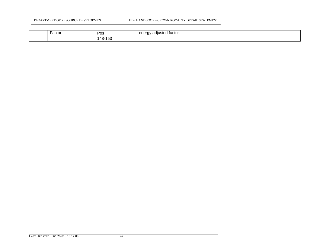|  | Factor<br>. |  | Pos<br><u> San Angele and San Angel</u><br>148-<br>ے ر<br>᠇◡ |  |  | . .<br>adjusted factor.<br>enera<br>ັັ |  |
|--|-------------|--|--------------------------------------------------------------|--|--|----------------------------------------|--|
|--|-------------|--|--------------------------------------------------------------|--|--|----------------------------------------|--|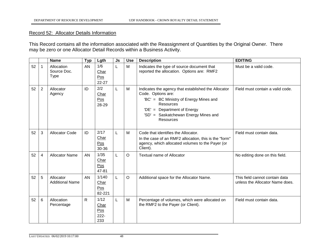#### Record 52: Allocator Details Information

This Record contains all the information associated with the Reassignment of Quantities by the Original Owner. There may be zero or one Allocator Detail Records within a Business Activity.

|    |                | <b>Name</b>                              | <b>Typ</b>   | Lgth                                  | Js | <b>Use</b> | <b>Description</b>                                                                                                                                                                                                                 | <b>EDITING</b>                                                    |
|----|----------------|------------------------------------------|--------------|---------------------------------------|----|------------|------------------------------------------------------------------------------------------------------------------------------------------------------------------------------------------------------------------------------------|-------------------------------------------------------------------|
| 52 | 1              | Allocation<br>Source Doc.<br><b>Type</b> | AN           | 1/6<br>Char<br>Pos<br>22-27           | L  | M          | Indicates the type of source document that<br>reported the allocation. Options are: RMF2                                                                                                                                           | Must be a valid code.                                             |
| 52 | $\overline{2}$ | Allocator<br>Agency                      | ID           | 2/2<br>Char<br>Pos<br>28-29           | L  | M          | Indicates the agency that established the Allocator<br>Code. Options are:<br>'BC' = BC Ministry of Energy Mines and<br><b>Resources</b><br>'DE' = Department of Energy<br>'SD' = Saskatchewan Energy Mines and<br><b>Resources</b> | Field must contain a valid code.                                  |
| 52 | 3              | <b>Allocator Code</b>                    | ID           | 2/17<br>Char<br>Pos<br>30-36          | L  | M          | Code that identifies the Allocator.<br>In the case of an RMF2 allocation, this is the "form"<br>agency, which allocated volumes to the Payer (or<br>Client).                                                                       | Field must contain data.                                          |
| 52 | $\overline{4}$ | <b>Allocator Name</b>                    | AN           | $1/35$<br>Char<br>Pos<br>47-81        | L  | $\circ$    | <b>Textual name of Allocator</b>                                                                                                                                                                                                   | No editing done on this field.                                    |
| 52 | 5              | Allocator<br><b>Additional Name</b>      | AN           | 1/140<br>Char<br>Pos<br>82-221        | L  | $\circ$    | Additional space for the Allocator Name.                                                                                                                                                                                           | This field cannot contain data<br>unless the Allocator Name does. |
| 52 | 6              | Allocation<br>Percentage                 | $\mathsf{R}$ | 1/12<br>Char<br>Pos<br>$222 -$<br>233 | L  | M          | Percentage of volumes, which were allocated on<br>the RMF2 to the Payer (or Client).                                                                                                                                               | Field must contain data.                                          |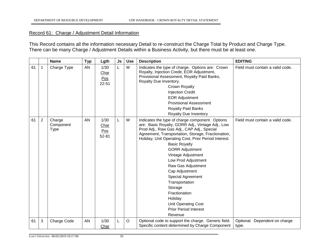#### Record 61: Charge / Adjustment Detail Information

This Record contains all the information necessary Detail to re-construct the Charge Total by Product and Charge Type. There can be many Charge / Adjustment Details within a Business Activity, but there must be at least one.

|    |                | <b>Name</b>                 | <b>Typ</b> | Lgth                             | Js | <b>Use</b> | <b>Description</b>                                                                                                                                                                                                                                                                                                                                                                                                                                                                                                                                            | <b>EDITING</b>                         |
|----|----------------|-----------------------------|------------|----------------------------------|----|------------|---------------------------------------------------------------------------------------------------------------------------------------------------------------------------------------------------------------------------------------------------------------------------------------------------------------------------------------------------------------------------------------------------------------------------------------------------------------------------------------------------------------------------------------------------------------|----------------------------------------|
| 61 | 1              | Charge Type                 | AN         | 1/30<br>Char<br>Pos<br>$22 - 51$ | L  | M          | Indicates the type of charge. Options are: Crown<br>Royalty, Injection Credit, EOR Adjustment,<br>Provisional Assessment, Royalty Paid Banks,<br>Royalty Due Inventory.<br>Crown Royalty<br><b>Injection Credit</b><br><b>EOR Adjustment</b><br><b>Provisional Assessment</b><br><b>Royalty Paid Banks</b><br><b>Royalty Due Inventory</b>                                                                                                                                                                                                                    | Field must contain a valid code.       |
| 61 | $\overline{2}$ | Charge<br>Component<br>Type | AN         | 1/30<br>Char<br>Pos<br>$52 - 81$ | L  | M          | Indicates the type of charge component. Options<br>are: Basic Royalty, GORR Adj., Vintage Adj., Low<br>Prod Adj., Raw Gas Adj., CAP Adj., Special<br>Agreement, Transportation, Storage, Fractionation,<br>Holiday, Unit Operating Cost, Prior Period Interest.<br><b>Basic Royalty</b><br><b>GORR Adjustment</b><br>Vintage Adjustment<br>Low Prod Adjustment<br>Raw Gas Adjustment<br>Cap Adjustment<br>Special Agreement<br>Transportation<br>Storage<br>Fractionation<br>Holiday<br><b>Unit Operating Cost</b><br><b>Prior Period Interest</b><br>Revenue | Field must contain a valid code.       |
| 61 | 3              | Charge Code                 | AN         | 1/30<br>Char                     | L  | $\circ$    | Optional code to support the charge. Generic field.<br>Specific content determined by Charge Component                                                                                                                                                                                                                                                                                                                                                                                                                                                        | Optional. Dependent on charge<br>type. |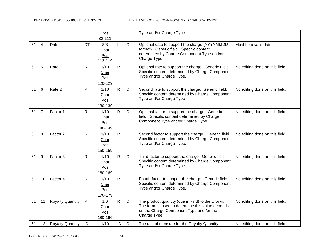|    |                |                         |              | Pos<br>82-111                        |              |         | Type and/or Charge Type.                                                                                                                                         |                                |
|----|----------------|-------------------------|--------------|--------------------------------------|--------------|---------|------------------------------------------------------------------------------------------------------------------------------------------------------------------|--------------------------------|
| 61 | 4              | Date                    | DT           | 8/8<br>Char<br>Pos<br>112-119        | L            | $\circ$ | Optional date to support the charge (YYYYMMDD<br>format). Generic field. Specific content<br>determined by Charge Component Type and/or<br>Charge Type.          | Must be a valid date.          |
| 61 | 5              | Rate 1                  | $\mathsf{R}$ | $1/10$<br>Char<br>Pos<br>120-129     | $\mathsf{R}$ | $\circ$ | Optional rate to support the charge. Generic Field.<br>Specific content determined by Charge Component<br>Type and/or Charge Type.                               | No editing done on this field. |
| 61 | 6              | Rate 2                  | R            | 1/10<br>Char<br>Pos<br>130-139       | $\mathsf{R}$ | $\circ$ | Second rate to support the charge. Generic field.<br>Specific content determined by Charge Component<br>Type and/or Charge Type                                  | No editing done on this field. |
| 61 | $\overline{7}$ | Factor 1                | R            | 1/10<br>Char<br>Pos<br>140-149       | $\mathsf{R}$ | $\circ$ | Optional factor to support the charge. Generic<br>field. Specific content determined by Charge<br>Component Type and/or Charge Type.                             | No editing done on this field. |
| 61 | 8              | Factor 2                | R            | 1/10<br>Char<br>Pos<br>150-159       | $\mathsf{R}$ | $\circ$ | Second factor to support the charge. Generic field.<br>Specific content determined by Charge Component<br>Type and/or Charge Type.                               | No editing done on this field. |
| 61 | 9              | Factor 3                | R            | 1/10<br>Char<br>Pos<br>160-169       | $\mathsf{R}$ | $\circ$ | Third factor to support the charge. Generic field.<br>Specific content determined by Charge Component<br>Type and/or Charge Type.                                | No editing done on this field. |
| 61 | 10             | Factor 4                | R            | 1/10<br>Char<br>Pos<br>170-179       | $\mathsf{R}$ | $\circ$ | Fourth factor to support the charge. Generic field.<br>Specific content determined by Charge Component<br>Type and/or Charge Type.                               | No editing done on this field. |
| 61 | 11             | <b>Royalty Quantity</b> | $\mathsf{R}$ | 1/6<br><b>Char</b><br>Pos<br>180-196 | $\mathsf{R}$ | $\circ$ | The product quantity (due in kind) to the Crown.<br>The formula used to determine this value depends<br>on the Charge Component Type and /or the<br>Charge Type. | No editing done on this field. |
| 61 | 12             | <b>Royalty Quantity</b> | ID           | 1/10                                 | ID           | $\circ$ | The unit of measure for the Royalty Quantity.                                                                                                                    | No editing done on this field. |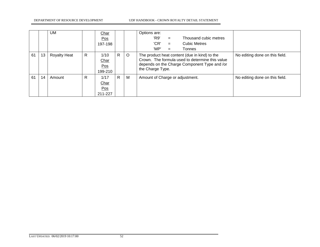|    |    | UM                  |              | Char<br>Pos<br>197-198         |    |         | Options are:<br>'R9'<br>Thousand cubic metres<br>$=$<br>'CR'<br>Cubic Metres<br>$=$<br>'MP'<br>Tonnes<br>$=$                                                         |                                |
|----|----|---------------------|--------------|--------------------------------|----|---------|----------------------------------------------------------------------------------------------------------------------------------------------------------------------|--------------------------------|
| 61 | 13 | <b>Royalty Heat</b> | $\mathsf{R}$ | 1/10<br>Char<br>Pos<br>199-210 | R. | $\circ$ | The product heat content (due in kind) to the<br>Crown. The formula used to determine this value<br>depends on the Charge Component Type and /or<br>the Charge Type. | No editing done on this field. |
| 61 | 14 | Amount              | R            | 1/17<br>Char<br>Pos<br>211-227 | R. | M       | Amount of Charge or adjustment.                                                                                                                                      | No editing done on this field. |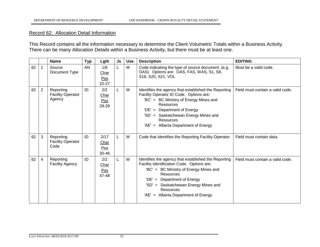#### Record 62: Allocation Detail Information

This Record contains all the information necessary to determine the Client Volumetric Totals within a Business Activity. There can be many Allocation Details within a Business Activity, but there must be at least one.

|    |   | <b>Name</b>                                     | <b>Typ</b> | Lgth                         | <b>Js</b> | <b>Use</b> | <b>Description</b>                                                                                                                                                                                                                                                                                   | <b>EDITING</b>                   |
|----|---|-------------------------------------------------|------------|------------------------------|-----------|------------|------------------------------------------------------------------------------------------------------------------------------------------------------------------------------------------------------------------------------------------------------------------------------------------------------|----------------------------------|
| 62 | 1 | Source<br>Document Type                         | <b>AN</b>  | 1/6<br>Char<br>Pos<br>22-27  | L         | M          | Code indicating the type of source document. (e.g.<br>OAS). Options are: OAS, FAS, WAS, S1, S8,<br>S18, S20, S21, VOL                                                                                                                                                                                | Must be a valid code.            |
| 62 | 2 | Reporting<br><b>Facility Operator</b><br>Agency | ID         | 2/2<br>Char<br>Pos<br>28-29  | L         | М          | Identifies the agency that established the Reporting<br>Facility Operator ID Code. Options are:<br>'BC' = BC Ministry of Energy Mines and<br>Resources<br><b>Department of Energy</b><br>'DE' $=$<br>'SD' = Saskatchewan Energy Mines and<br>Resources<br>'AE' = Alberta Department of Energy        | Field must contain a valid code. |
| 62 | 3 | Reporting<br><b>Facility Operator</b><br>Code   | ID         | 2/17<br>Char<br>Pos<br>30-46 | L         | M          | Code that identifies the Reporting Facility Operator.                                                                                                                                                                                                                                                | Field must contain data.         |
| 62 | 4 | Reporting<br><b>Facility Agency</b>             | ID         | 2/2<br>Char<br>Pos<br>47-48  | L         | М          | Identifies the agency that established the Reporting<br>Facility Identification Code. Options are:<br>'BC' = BC Ministry of Energy Mines and<br><b>Resources</b><br>$'DE' = Department of Energy$<br>'SD' = Saskatchewan Energy Mines and<br><b>Resources</b><br>'AE' = Alberta Department of Energy | Field must contain a valid code. |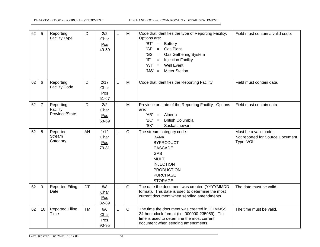| 62 | 5               | Reporting<br><b>Facility Type</b>       | ID | 2/2<br>Char<br>Pos<br>49-50  | L | M       | Code that identifies the type of Reporting Facility.<br>Options are:<br>$'BT' =$<br><b>Battery</b><br>'GP'<br><b>Gas Plant</b><br>$=$<br>'GS'<br><b>Gas Gathering System</b><br>$=$<br>'IF'<br><b>Injection Facility</b><br>$\equiv$<br>Well Event<br>'WI'<br>$=$<br><b>Meter Station</b><br>$^{\circ}MS' =$ | Field must contain a valid code.                                        |
|----|-----------------|-----------------------------------------|----|------------------------------|---|---------|--------------------------------------------------------------------------------------------------------------------------------------------------------------------------------------------------------------------------------------------------------------------------------------------------------------|-------------------------------------------------------------------------|
| 62 | 6               | Reporting<br><b>Facility Code</b>       | ID | 2/17<br>Char<br>Pos<br>51-67 | L | M       | Code that identifies the Reporting Facility.                                                                                                                                                                                                                                                                 | Field must contain data.                                                |
| 62 | $\overline{7}$  | Reporting<br>Facility<br>Province/State | ID | 2/2<br>Char<br>Pos<br>68-69  | L | M       | Province or state of the Reporting Facility. Options<br>are:<br>Alberta<br>'AB'<br>$=$<br>'BC'<br><b>British Columbia</b><br>$=$<br>'SK'<br>Saskatchewan<br>$=$                                                                                                                                              | Field must contain data.                                                |
| 62 | 8               | Reported<br>Stream<br>Category          | AN | 1/12<br>Char<br>Pos<br>70-81 | L | $\circ$ | The stream category code.<br><b>BANK</b><br><b>BYPRODUCT</b><br><b>CASCADE</b><br>GAS<br><b>MULTI</b><br><b>INJECTION</b><br><b>PRODUCTION</b><br><b>PURCHASE</b><br><b>STORAGE</b>                                                                                                                          | Must be a valid code.<br>Not reported for Source Document<br>Type 'VOL' |
| 62 | 9               | <b>Reported Filing</b><br>Date          | DT | 8/8<br>Char<br>Pos<br>82-89  | L | $\circ$ | The date the document was created (YYYYMMDD<br>format). This date is used to determine the most<br>current document when sending amendments.                                                                                                                                                                 | The date must be valid.                                                 |
| 62 | 10 <sup>°</sup> | <b>Reported Filing</b><br>Time          | тм | 6/6<br>Char<br>Pos<br>90-95  | L | $\circ$ | The time the document was created in HHMMSS<br>24-hour clock format (i.e. 000000-235959). This<br>time is used to determine the most current<br>document when sending amendments.                                                                                                                            | The time must be valid.                                                 |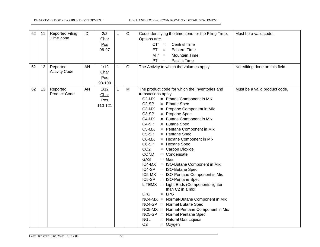| 62<br>62 | 11<br>12 | <b>Reported Filing</b><br>Time Zone<br>Reported | ID<br>AN | 2/2<br>Char<br>Pos<br>96-97<br>1/12 | L<br>L | $\mathsf O$<br>$\circ$ | Code identifying the time zone for the Filing Time.<br>Options are:<br>$'CT' =$<br><b>Central Time</b><br>'ET'<br><b>Eastern Time</b><br>$=$<br>'MT'<br><b>Mountain Time</b><br>$=$<br>'PT'<br>Pacific Time<br>$=$<br>The Activity to which the volumes apply.                                                                                                                                                                                                                                                                                                                                                                                                                                                                                                                                                                                                                                                                                                                                                             | Must be a valid code.<br>No editing done on this field. |
|----------|----------|-------------------------------------------------|----------|-------------------------------------|--------|------------------------|----------------------------------------------------------------------------------------------------------------------------------------------------------------------------------------------------------------------------------------------------------------------------------------------------------------------------------------------------------------------------------------------------------------------------------------------------------------------------------------------------------------------------------------------------------------------------------------------------------------------------------------------------------------------------------------------------------------------------------------------------------------------------------------------------------------------------------------------------------------------------------------------------------------------------------------------------------------------------------------------------------------------------|---------------------------------------------------------|
|          |          | <b>Activity Code</b>                            |          | Char<br>Pos<br>98-109               |        |                        |                                                                                                                                                                                                                                                                                                                                                                                                                                                                                                                                                                                                                                                                                                                                                                                                                                                                                                                                                                                                                            |                                                         |
| 62       | 13       | Reported<br><b>Product Code</b>                 | AN       | 1/12<br>Char<br>Pos<br>110-121      | L      | M                      | The product code for which the Inventories and<br>transactions apply.<br>C <sub>2</sub> -M <sub>X</sub><br>= Ethane Component in Mix<br>C <sub>2</sub> -SP<br>= Ethane Spec<br>C3-MX<br>= Propane Component in Mix<br>C3-SP<br>= Propane Spec<br>C4-MX<br>= Butane Component in Mix<br>C4-SP<br>= Butane Spec<br>C5-MX<br>= Pentane Component in Mix<br>C5-SP<br>= Pentane Spec<br>C6-MX<br>= Hexane Component in Mix<br>C6-SP<br>= Hexane Spec<br>CO <sub>2</sub><br>= Carbon Dioxide<br><b>COND</b><br>= Condensate<br><b>GAS</b><br>$=$ Gas<br>IC4-MX<br>= ISO-Butane Component in Mix<br>= ISO-Butane Spec<br>IC4-SP<br>IC5-MX = ISO-Pentane Component in Mix<br>IC5-SP<br>= ISO-Pentane Spec<br>LITEMX = Light Ends (Components lighter<br>than C2 in a mix<br>$= LPG$<br><b>LPG</b><br>$NC4-MX = Normal-Butane Component in Mix$<br>NC4-SP = Normal Butane Spec<br>NC5-MX = Normal-Pentane Component in Mix<br>$NC5-SP = Normal Pentane Spec$<br><b>NGL</b><br>= Natural Gas Liquids<br>O <sub>2</sub><br>$=$ Oxygen | Must be a valid product code.                           |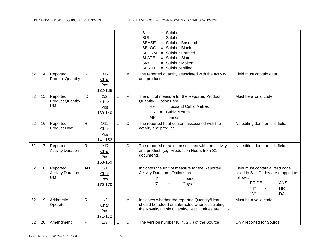|    |    |                                                   |              |                                |   |         | S<br>$=$ Sulphur<br><b>SUL</b><br>$=$ Sulphur<br><b>SBASE</b><br>= Sulphur-Basepad<br><b>SBLOC</b><br>= Sulphur-Block<br><b>SFORM</b><br>= Sulphur-Formed<br><b>SLATE</b><br>= Sulphur-Slate<br><b>SMOLT</b><br>= Sulphur-Molten<br><b>SPRILL</b><br>= Sulphur-Prilled |                                                                                                                                                 |
|----|----|---------------------------------------------------|--------------|--------------------------------|---|---------|------------------------------------------------------------------------------------------------------------------------------------------------------------------------------------------------------------------------------------------------------------------------|-------------------------------------------------------------------------------------------------------------------------------------------------|
| 62 | 14 | Reported<br><b>Product Quantity</b>               | $\mathsf{R}$ | 1/17<br>Char<br>Pos<br>122-138 | L | M       | The reported quantity associated with the activity<br>and product.                                                                                                                                                                                                     | Field must contain data.                                                                                                                        |
| 62 | 15 | Reported<br><b>Product Quantity</b><br>UM.        | ID           | 2/2<br>Char<br>Pos<br>139-140  | L | M       | The unit of measure for the Reported Product<br>Quantity. Options are:<br>'R9'<br>= Thousand Cubic Metres<br>= Cubic Metres<br>'CR'<br>'MP'<br>$=$ Tonnes                                                                                                              | Must be a valid code.                                                                                                                           |
| 62 | 16 | Reported<br><b>Product Heat</b>                   | R            | 1/12<br>Char<br>Pos<br>141-152 | L | $\circ$ | The reported heat content associated with the<br>activity and product.                                                                                                                                                                                                 | No editing done on this field.                                                                                                                  |
| 62 | 17 | Reported<br><b>Activity Duration</b>              | R            | 1/17<br>Char<br>Pos<br>153-169 | L | $\circ$ | The reported duration associated with the activity<br>and product. (eg. Production Hours from S1<br>document).                                                                                                                                                         | No editing done on this field.                                                                                                                  |
| 62 | 18 | Reported<br><b>Activity Duration</b><br><b>UM</b> | AN           | 1/1<br>Char<br>Pos<br>170-170  | L | $\circ$ | Indicates the unit of measure for the Reported<br>Activity Duration. Options are:<br>'H'<br><b>Hours</b><br>$=$<br>'D'<br>Days<br>$=$                                                                                                                                  | Field must contain a valid code.<br>Used in S1. Codes are mapped as<br>follows:<br><b>PRIDE</b><br><b>ANSI</b><br>"H"<br><b>HR</b><br>"D"<br>DA |
| 62 | 19 | Arithmetic<br>Operator                            | R            | 1/2<br>Char<br>Pos<br>171-172  | L | М       | Indicates whether the reported Quantity/Heat<br>should be added or subtracted when calculating<br>the Royalty Liable Quantity/Heat. Values are +1, -<br>1.                                                                                                             | Must be a valid code.                                                                                                                           |
| 62 | 20 | Amendment                                         | R            | 1/3                            |   | O       | The version number $(0, 1, 2)$ of the Source                                                                                                                                                                                                                           | Only reported for Source                                                                                                                        |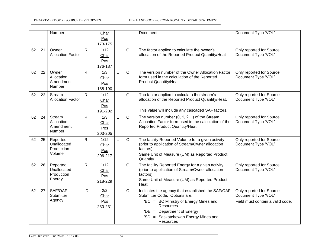|    |    | Number                                          |              | Char<br>Pos<br>173-175         |   |         | Document.                                                                                                                                                                                                                    | Document Type 'VOL'                                                                 |
|----|----|-------------------------------------------------|--------------|--------------------------------|---|---------|------------------------------------------------------------------------------------------------------------------------------------------------------------------------------------------------------------------------------|-------------------------------------------------------------------------------------|
| 62 | 21 | Owner<br><b>Allocation Factor</b>               | R.           | 1/12<br>Char<br>Pos<br>176-187 | L | $\circ$ | The factor applied to calculate the owner's<br>allocation of the Reported Product Quantity/Heat                                                                                                                              | Only reported for Source<br>Document Type 'VOL'                                     |
| 62 | 22 | Owner<br>Allocation<br>Amendment<br>Number      | R.           | 1/3<br>Char<br>Pos<br>188-190  | L | $\circ$ | The version number of the Owner Allocation Factor<br>form used in the calculation of the Reported<br>Product Quantity/Heat.                                                                                                  | Only reported for Source<br>Document Type 'VOL'                                     |
| 62 | 23 | Stream<br><b>Allocation Factor</b>              | $\mathsf{R}$ | 1/12<br>Char<br>Pos<br>191-202 | L | $\circ$ | The factor applied to calculate the stream's<br>allocation of the Reported Product Quantity/Heat.<br>This value will include any cascaded SAF factors.                                                                       | Only reported for Source<br>Document Type 'VOL'                                     |
| 62 | 24 | Stream<br>Allocation<br>Amendment<br>Number     | R.           | 1/3<br>Char<br>Pos<br>203-205  | L | $\circ$ | The version number (0, 1, 2) of the Stream<br>Allocation Factor form used in the calculation of the<br>Reported Product Quantity/Heat.                                                                                       | Only reported for Source<br>Document Type 'VOL'                                     |
| 62 | 25 | Reported<br>Unallocated<br>Production<br>Volume | R.           | 1/12<br>Char<br>Pos<br>206-217 | L | $\circ$ | The facility Reported Volume for a given activity<br>(prior to application of Stream/Owner allocation<br>factors).<br>Same Unit of Measure (UM) as Reported Product<br>Quantity.                                             | Only reported for Source<br>Document Type 'VOL'                                     |
| 62 | 26 | Reported<br>Unallocated<br>Production<br>Energy | R            | 1/12<br>Char<br>Pos<br>218-229 |   | $\circ$ | The facility Reported Energy for a given activity<br>(prior to application of Stream/Owner allocation<br>factors).<br>Same Unit of Measure (UM) as Reported Product<br>Heat.                                                 | Only reported for Source<br>Document Type 'VOL'                                     |
| 62 | 27 | SAF/OAF<br>Submitter<br>Agency                  | ID           | 2/2<br>Char<br>Pos<br>230-231  | L | $\circ$ | Indicates the agency that established the SAF/OAF<br>Submitter Code. Options are:<br>'BC' = BC Ministry of Energy Mines and<br>Resources<br>'DE' = Department of Energy<br>'SD' = Saskatchewan Energy Mines and<br>Resources | Only reported for Source<br>Document Type 'VOL'<br>Field must contain a valid code. |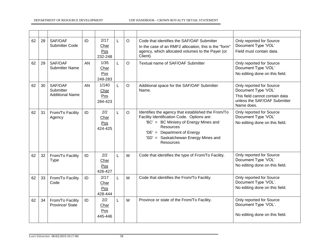| 62 | 28 | SAF/OAF<br><b>Submitter Code</b>               | ID | 2/17<br>Char<br>Pos<br>232-248  | L | $\circ$  | Code that identifies the SAF/OAF Submitter<br>In the case of an RMF2 allocation, this is the "form"<br>agency, which allocated volumes to the Payer (or<br>Client).                                                                                | Only reported for Source<br>Document Type 'VOL'<br>Field must contain data.                                                     |
|----|----|------------------------------------------------|----|---------------------------------|---|----------|----------------------------------------------------------------------------------------------------------------------------------------------------------------------------------------------------------------------------------------------------|---------------------------------------------------------------------------------------------------------------------------------|
| 62 | 29 | SAF/OAF<br><b>Submitter Name</b>               | AN | 1/35<br>Char<br>Pos<br>249-283  | L | $\Omega$ | Textual name of SAF/OAF Submitter                                                                                                                                                                                                                  | Only reported for Source<br>Document Type 'VOL'<br>No editing done on this field.                                               |
| 62 | 30 | SAF/OAF<br>Submitter<br><b>Additional Name</b> | AN | 1/140<br>Char<br>Pos<br>284-423 | L | O        | Additional space for the SAF/OAF Submitter<br>Name.                                                                                                                                                                                                | Only reported for Source<br>Document Type 'VOL'<br>This field cannot contain data<br>unless the SAF/OAF Submitter<br>Name does. |
| 62 | 31 | From/To Facility<br>Agency                     | ID | 2/2<br>Char<br>Pos<br>424-425   | L | O        | Identifies the agency that established the From/To<br>Facility Identification Code. Options are:<br>'BC' = BC Ministry of Energy Mines and<br><b>Resources</b><br>'DE' = Department of Energy<br>'SD' = Saskatchewan Energy Mines and<br>Resources | Only reported for Source<br>Document Type 'VOL'<br>No editing done on this field.                                               |
| 62 | 32 | From/To Facility<br><b>Type</b>                | ID | 2/2<br>Char<br>Pos<br>426-427   | L | M        | Code that identifies the type of From/To Facility.                                                                                                                                                                                                 | Only reported for Source<br>Document Type 'VOL'<br>No editing done on this field.                                               |
| 62 | 33 | From/To Facility<br>Code                       | ID | 2/17<br>Char<br>Pos<br>428-444  | L | M        | Code that identifies the From/To Facility.                                                                                                                                                                                                         | Only reported for Source<br>Document Type 'VOL'.<br>No editing done on this field.                                              |
| 62 | 34 | From/To Facility<br>Province/ State            | ID | 2/2<br>Char<br>Pos<br>445-446   | L | M        | Province or state of the From/To Facility.                                                                                                                                                                                                         | Only reported for Source<br>Document Type 'VOL'.<br>No editing done on this field.                                              |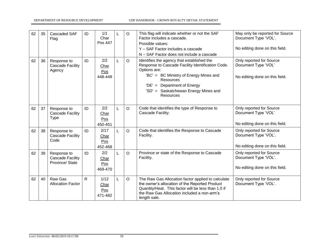| 62 | 35 | Cascaded SAF<br>Flag                                      | ID           | 1/1<br>Char<br>Pos 447         |   | $\circ$  | This flag will indicate whether or not the SAF<br>Factor includes a cascade.<br>Possible values:<br>Y - SAF Factor includes a cascade<br>N - SAF Factor does not include a cascade                                                                                | May only be reported for Source<br>Document Type 'VOL'.<br>No editing done on this field. |
|----|----|-----------------------------------------------------------|--------------|--------------------------------|---|----------|-------------------------------------------------------------------------------------------------------------------------------------------------------------------------------------------------------------------------------------------------------------------|-------------------------------------------------------------------------------------------|
| 62 | 36 | Response to<br><b>Cascade Facility</b><br>Agency          | ID           | 2/2<br>Char<br>Pos<br>448-449  | L | $\Omega$ | Identifies the agency that established the<br>Response to Cascade Facility Identification Code.<br>Options are:<br>'BC' = BC Ministry of Energy Mines and<br>Resources<br>'DE' = Department of Energy<br>'SD' = Saskatchewan Energy Mines and<br><b>Resources</b> | Only reported for Source<br>Document Type 'VOL'<br>No editing done on this field.         |
| 62 | 37 | Response to<br><b>Cascade Facility</b><br><b>Type</b>     | ID           | 2/2<br>Char<br>Pos<br>450-451  | L | $\circ$  | Code that identifies the type of Response to<br>Cascade Facility.                                                                                                                                                                                                 | Only reported for Source<br>Document Type 'VOL'<br>No editing done on this field.         |
| 62 | 38 | Response to<br><b>Cascade Facility</b><br>Code            | ID           | 2/17<br>Char<br>Pos<br>452-468 | L | $\circ$  | Code that identifies the Response to Cascade<br>Facility.                                                                                                                                                                                                         | Only reported for Source<br>Document Type 'VOL'.<br>No editing done on this field.        |
| 62 | 39 | Response to<br><b>Cascade Facility</b><br>Province/ State | ID           | 2/2<br>Char<br>Pos<br>469-470  | L | $\circ$  | Province or state of the Response to Cascade<br>Facility.                                                                                                                                                                                                         | Only reported for Source<br>Document Type 'VOL'.<br>No editing done on this field.        |
| 62 | 40 | Raw Gas<br><b>Allocation Factor</b>                       | $\mathsf{R}$ | 1/12<br>Char<br>Pos<br>471-482 | L | $\circ$  | The Raw Gas Allocation factor applied to calculate<br>the owner's allocation of the Reported Product<br>Quantity/Heat. This factor will be less than 1.0 if<br>the Raw Gas Allocation included a non-arm's<br>length sale.                                        | Only reported for Source<br>Document Type 'VOL'.                                          |